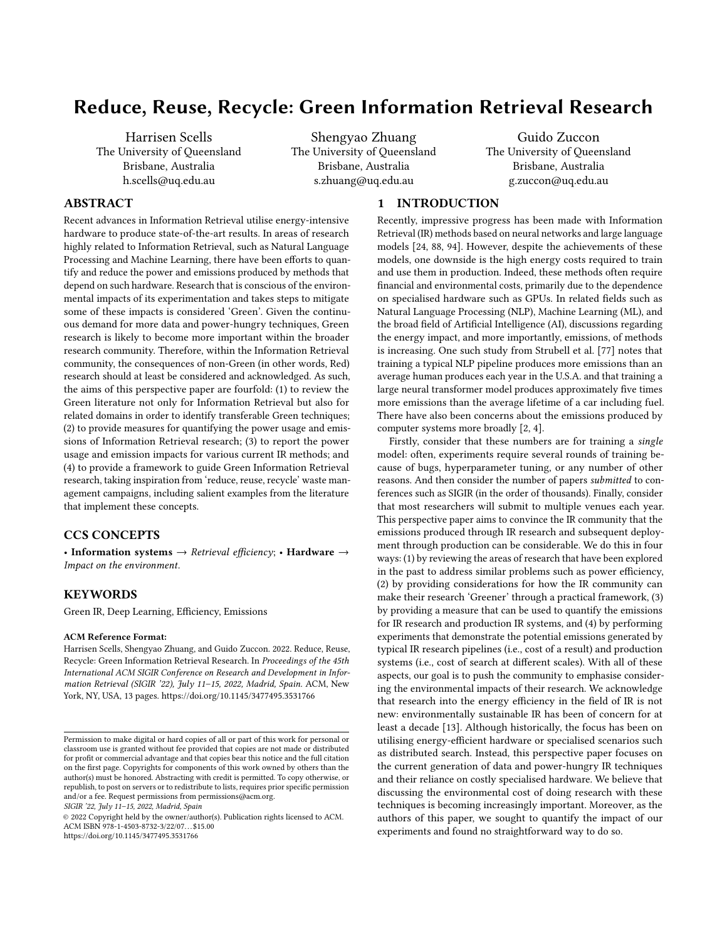# Reduce, Reuse, Recycle: Green Information Retrieval Research

Harrisen Scells The University of Queensland Brisbane, Australia h.scells@uq.edu.au

Shengyao Zhuang The University of Queensland Brisbane, Australia s.zhuang@uq.edu.au

Guido Zuccon The University of Queensland Brisbane, Australia g.zuccon@uq.edu.au

# ABSTRACT

Recent advances in Information Retrieval utilise energy-intensive hardware to produce state-of-the-art results. In areas of research highly related to Information Retrieval, such as Natural Language Processing and Machine Learning, there have been efforts to quantify and reduce the power and emissions produced by methods that depend on such hardware. Research that is conscious of the environmental impacts of its experimentation and takes steps to mitigate some of these impacts is considered 'Green'. Given the continuous demand for more data and power-hungry techniques, Green research is likely to become more important within the broader research community. Therefore, within the Information Retrieval community, the consequences of non-Green (in other words, Red) research should at least be considered and acknowledged. As such, the aims of this perspective paper are fourfold: (1) to review the Green literature not only for Information Retrieval but also for related domains in order to identify transferable Green techniques; (2) to provide measures for quantifying the power usage and emissions of Information Retrieval research; (3) to report the power usage and emission impacts for various current IR methods; and (4) to provide a framework to guide Green Information Retrieval research, taking inspiration from 'reduce, reuse, recycle' waste management campaigns, including salient examples from the literature that implement these concepts.

# CCS CONCEPTS

• Information systems  $\rightarrow$  Retrieval efficiency; • Hardware  $\rightarrow$ Impact on the environment.

### KEYWORDS

Green IR, Deep Learning, Efficiency, Emissions

#### ACM Reference Format:

Harrisen Scells, Shengyao Zhuang, and Guido Zuccon. 2022. Reduce, Reuse, Recycle: Green Information Retrieval Research. In Proceedings of the 45th International ACM SIGIR Conference on Research and Development in Information Retrieval (SIGIR '22), July 11–15, 2022, Madrid, Spain. ACM, New York, NY, USA, [13](#page-12-0) pages.<https://doi.org/10.1145/3477495.3531766>

SIGIR '22, July 11–15, 2022, Madrid, Spain

© 2022 Copyright held by the owner/author(s). Publication rights licensed to ACM. ACM ISBN 978-1-4503-8732-3/22/07. . . \$15.00 <https://doi.org/10.1145/3477495.3531766>

# 1 INTRODUCTION

Recently, impressive progress has been made with Information Retrieval (IR) methods based on neural networks and large language models [\[24,](#page-10-0) [88,](#page-12-1) [94\]](#page-12-2). However, despite the achievements of these models, one downside is the high energy costs required to train and use them in production. Indeed, these methods often require financial and environmental costs, primarily due to the dependence on specialised hardware such as GPUs. In related fields such as Natural Language Processing (NLP), Machine Learning (ML), and the broad field of Artificial Intelligence (AI), discussions regarding the energy impact, and more importantly, emissions, of methods is increasing. One such study from Strubell et al. [\[77\]](#page-12-3) notes that training a typical NLP pipeline produces more emissions than an average human produces each year in the U.S.A. and that training a large neural transformer model produces approximately five times more emissions than the average lifetime of a car including fuel. There have also been concerns about the emissions produced by computer systems more broadly [\[2,](#page-10-1) [4\]](#page-10-2).

Firstly, consider that these numbers are for training a single model: often, experiments require several rounds of training because of bugs, hyperparameter tuning, or any number of other reasons. And then consider the number of papers submitted to conferences such as SIGIR (in the order of thousands). Finally, consider that most researchers will submit to multiple venues each year. This perspective paper aims to convince the IR community that the emissions produced through IR research and subsequent deployment through production can be considerable. We do this in four ways: (1) by reviewing the areas of research that have been explored in the past to address similar problems such as power efficiency, (2) by providing considerations for how the IR community can make their research 'Greener' through a practical framework, (3) by providing a measure that can be used to quantify the emissions for IR research and production IR systems, and (4) by performing experiments that demonstrate the potential emissions generated by typical IR research pipelines (i.e., cost of a result) and production systems (i.e., cost of search at different scales). With all of these aspects, our goal is to push the community to emphasise considering the environmental impacts of their research. We acknowledge that research into the energy efficiency in the field of IR is not new: environmentally sustainable IR has been of concern for at least a decade [\[13\]](#page-10-3). Although historically, the focus has been on utilising energy-efficient hardware or specialised scenarios such as distributed search. Instead, this perspective paper focuses on the current generation of data and power-hungry IR techniques and their reliance on costly specialised hardware. We believe that discussing the environmental cost of doing research with these techniques is becoming increasingly important. Moreover, as the authors of this paper, we sought to quantify the impact of our experiments and found no straightforward way to do so.

Permission to make digital or hard copies of all or part of this work for personal or classroom use is granted without fee provided that copies are not made or distributed for profit or commercial advantage and that copies bear this notice and the full citation on the first page. Copyrights for components of this work owned by others than the author(s) must be honored. Abstracting with credit is permitted. To copy otherwise, or republish, to post on servers or to redistribute to lists, requires prior specific permission and/or a fee. Request permissions from permissions@acm.org.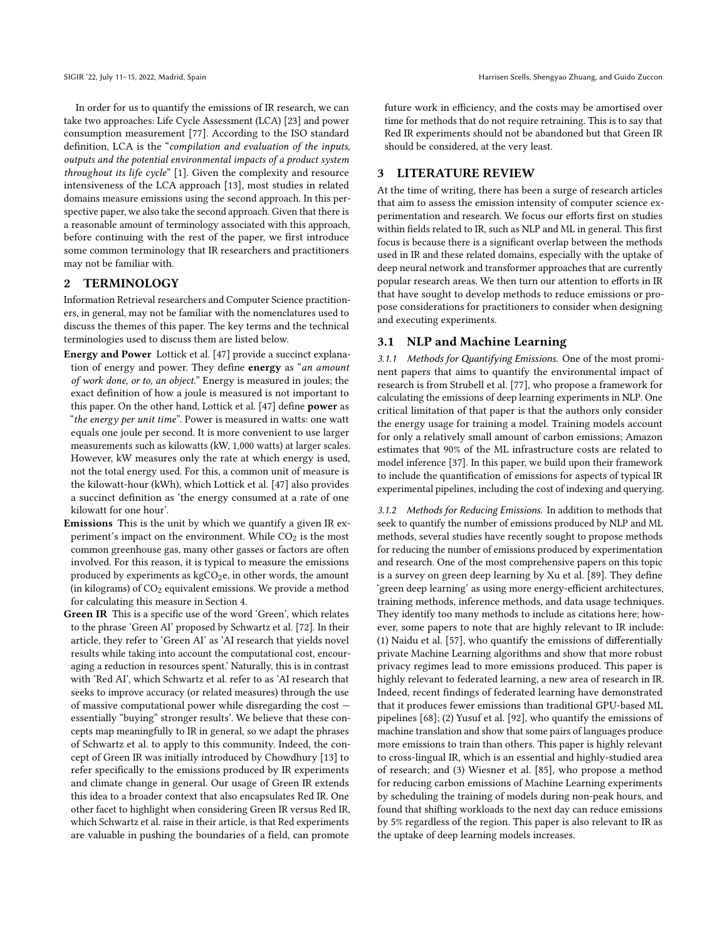In order for us to quantify the emissions of IR research, we can take two approaches: Life Cycle Assessment (LCA) [\[23\]](#page-10-4) and power consumption measurement [\[77\]](#page-12-3). According to the ISO standard definition, LCA is the "compilation and evaluation of the inputs, outputs and the potential environmental impacts of a product system throughout its life cycle" [\[1\]](#page-10-5). Given the complexity and resource intensiveness of the LCA approach [\[13\]](#page-10-3), most studies in related domains measure emissions using the second approach. In this perspective paper, we also take the second approach. Given that there is a reasonable amount of terminology associated with this approach, before continuing with the rest of the paper, we first introduce some common terminology that IR researchers and practitioners may not be familiar with.

# 2 TERMINOLOGY

Information Retrieval researchers and Computer Science practitioners, in general, may not be familiar with the nomenclatures used to discuss the themes of this paper. The key terms and the technical terminologies used to discuss them are listed below.

- Energy and Power Lottick et al. [\[47\]](#page-11-0) provide a succinct explanation of energy and power. They define energy as "an amount of work done, or to, an object." Energy is measured in joules; the exact definition of how a joule is measured is not important to this paper. On the other hand, Lottick et al. [\[47\]](#page-11-0) define power as "the energy per unit time". Power is measured in watts: one watt equals one joule per second. It is more convenient to use larger measurements such as kilowatts (kW, 1,000 watts) at larger scales. However, kW measures only the rate at which energy is used, not the total energy used. For this, a common unit of measure is the kilowatt-hour (kWh), which Lottick et al. [\[47\]](#page-11-0) also provides a succinct definition as 'the energy consumed at a rate of one kilowatt for one hour'.
- Emissions This is the unit by which we quantify a given IR experiment's impact on the environment. While  $CO<sub>2</sub>$  is the most common greenhouse gas, many other gasses or factors are often involved. For this reason, it is typical to measure the emissions produced by experiments as  $kgCO<sub>2</sub>e$ , in other words, the amount (in kilograms) of  $CO<sub>2</sub>$  equivalent emissions. We provide a method for calculating this measure in Section [4.](#page-2-0)
- Green IR This is a specific use of the word 'Green', which relates to the phrase 'Green AI' proposed by Schwartz et al. [\[72\]](#page-12-4). In their article, they refer to 'Green AI' as 'AI research that yields novel results while taking into account the computational cost, encouraging a reduction in resources spent.' Naturally, this is in contrast with 'Red AI', which Schwartz et al. refer to as 'AI research that seeks to improve accuracy (or related measures) through the use of massive computational power while disregarding the cost essentially "buying" stronger results'. We believe that these concepts map meaningfully to IR in general, so we adapt the phrases of Schwartz et al. to apply to this community. Indeed, the concept of Green IR was initially introduced by Chowdhury [\[13\]](#page-10-3) to refer specifically to the emissions produced by IR experiments and climate change in general. Our usage of Green IR extends this idea to a broader context that also encapsulates Red IR. One other facet to highlight when considering Green IR versus Red IR, which Schwartz et al. raise in their article, is that Red experiments are valuable in pushing the boundaries of a field, can promote

future work in efficiency, and the costs may be amortised over time for methods that do not require retraining. This is to say that Red IR experiments should not be abandoned but that Green IR should be considered, at the very least.

# 3 LITERATURE REVIEW

At the time of writing, there has been a surge of research articles that aim to assess the emission intensity of computer science experimentation and research. We focus our efforts first on studies within fields related to IR, such as NLP and ML in general. This first focus is because there is a significant overlap between the methods used in IR and these related domains, especially with the uptake of deep neural network and transformer approaches that are currently popular research areas. We then turn our attention to efforts in IR that have sought to develop methods to reduce emissions or propose considerations for practitioners to consider when designing and executing experiments.

# 3.1 NLP and Machine Learning

3.1.1 Methods for Quantifying Emissions. One of the most prominent papers that aims to quantify the environmental impact of research is from Strubell et al. [\[77\]](#page-12-3), who propose a framework for calculating the emissions of deep learning experiments in NLP. One critical limitation of that paper is that the authors only consider the energy usage for training a model. Training models account for only a relatively small amount of carbon emissions; Amazon estimates that 90% of the ML infrastructure costs are related to model inference [\[37\]](#page-11-1). In this paper, we build upon their framework to include the quantification of emissions for aspects of typical IR experimental pipelines, including the cost of indexing and querying.

3.1.2 Methods for Reducing Emissions. In addition to methods that seek to quantify the number of emissions produced by NLP and ML methods, several studies have recently sought to propose methods for reducing the number of emissions produced by experimentation and research. One of the most comprehensive papers on this topic is a survey on green deep learning by Xu et al. [\[89\]](#page-12-5). They define 'green deep learning' as using more energy-efficient architectures, training methods, inference methods, and data usage techniques. They identify too many methods to include as citations here; however, some papers to note that are highly relevant to IR include: (1) Naidu et al. [\[57\]](#page-11-2), who quantify the emissions of differentially private Machine Learning algorithms and show that more robust privacy regimes lead to more emissions produced. This paper is highly relevant to federated learning, a new area of research in IR. Indeed, recent findings of federated learning have demonstrated that it produces fewer emissions than traditional GPU-based ML pipelines [\[68\]](#page-11-3); (2) Yusuf et al. [\[92\]](#page-12-6), who quantify the emissions of machine translation and show that some pairs of languages produce more emissions to train than others. This paper is highly relevant to cross-lingual IR, which is an essential and highly-studied area of research; and (3) Wiesner et al. [\[85\]](#page-12-7), who propose a method for reducing carbon emissions of Machine Learning experiments by scheduling the training of models during non-peak hours, and found that shifting workloads to the next day can reduce emissions by 5% regardless of the region. This paper is also relevant to IR as the uptake of deep learning models increases.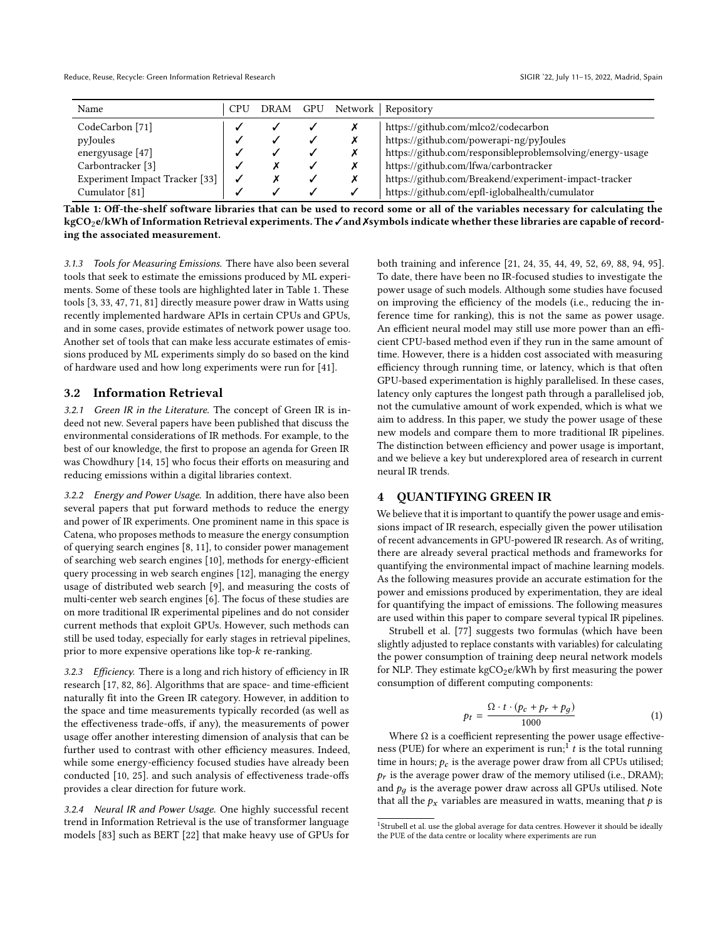<span id="page-2-1"></span>

| Name                           | CPU | DRAM | GPU | Network Repository                                        |
|--------------------------------|-----|------|-----|-----------------------------------------------------------|
| CodeCarbon [71]                |     |      |     | https://github.com/mlco2/codecarbon                       |
| pyJoules                       |     |      |     | https://github.com/powerapi-ng/pyJoules                   |
| energyusage $[47]$             |     |      |     | https://github.com/responsibleproblemsolving/energy-usage |
| Carbontracker <sup>[3]</sup>   |     |      |     | https://github.com/lfwa/carbontracker                     |
| Experiment Impact Tracker [33] |     |      |     | https://github.com/Breakend/experiment-impact-tracker     |
| Cumulator [81]                 |     |      |     | https://github.com/epfl-iglobalhealth/cumulator           |

Table 1: Off-the-shelf software libraries that can be used to record some or all of the variables necessary for calculating the kgCO<sub>2</sub>e/kWh of Information Retrieval experiments. The ∕and Xsymbols indicate whether these libraries are capable of recording the associated measurement.

3.1.3 Tools for Measuring Emissions. There have also been several tools that seek to estimate the emissions produced by ML experiments. Some of these tools are highlighted later in Table [1.](#page-2-1) These tools [\[3,](#page-10-6) [33,](#page-11-4) [47,](#page-11-0) [71,](#page-12-8) [81\]](#page-12-9) directly measure power draw in Watts using recently implemented hardware APIs in certain CPUs and GPUs, and in some cases, provide estimates of network power usage too. Another set of tools that can make less accurate estimates of emissions produced by ML experiments simply do so based on the kind of hardware used and how long experiments were run for [\[41\]](#page-11-5).

#### <span id="page-2-4"></span>3.2 Information Retrieval

3.2.1 Green IR in the Literature. The concept of Green IR is indeed not new. Several papers have been published that discuss the environmental considerations of IR methods. For example, to the best of our knowledge, the first to propose an agenda for Green IR was Chowdhury [\[14,](#page-10-7) [15\]](#page-10-8) who focus their efforts on measuring and reducing emissions within a digital libraries context.

3.2.2 Energy and Power Usage. In addition, there have also been several papers that put forward methods to reduce the energy and power of IR experiments. One prominent name in this space is Catena, who proposes methods to measure the energy consumption of querying search engines [\[8,](#page-10-9) [11\]](#page-10-10), to consider power management of searching web search engines [\[10\]](#page-10-11), methods for energy-efficient query processing in web search engines [\[12\]](#page-10-12), managing the energy usage of distributed web search [\[9\]](#page-10-13), and measuring the costs of multi-center web search engines [\[6\]](#page-10-14). The focus of these studies are on more traditional IR experimental pipelines and do not consider current methods that exploit GPUs. However, such methods can still be used today, especially for early stages in retrieval pipelines, prior to more expensive operations like top-k re-ranking.

3.2.3 Efficiency. There is a long and rich history of efficiency in IR research [\[17,](#page-10-15) [82,](#page-12-10) [86\]](#page-12-11). Algorithms that are space- and time-efficient naturally fit into the Green IR category. However, in addition to the space and time measurements typically recorded (as well as the effectiveness trade-offs, if any), the measurements of power usage offer another interesting dimension of analysis that can be further used to contrast with other efficiency measures. Indeed, while some energy-efficiency focused studies have already been conducted [\[10,](#page-10-11) [25\]](#page-10-16). and such analysis of effectiveness trade-offs provides a clear direction for future work.

3.2.4 Neural IR and Power Usage. One highly successful recent trend in Information Retrieval is the use of transformer language models [\[83\]](#page-12-12) such as BERT [\[22\]](#page-10-17) that make heavy use of GPUs for both training and inference [\[21,](#page-10-18) [24,](#page-10-0) [35,](#page-11-6) [44,](#page-11-7) [49,](#page-11-8) [52,](#page-11-9) [69,](#page-12-13) [88,](#page-12-1) [94,](#page-12-2) [95\]](#page-12-14). To date, there have been no IR-focused studies to investigate the power usage of such models. Although some studies have focused on improving the efficiency of the models (i.e., reducing the inference time for ranking), this is not the same as power usage. An efficient neural model may still use more power than an efficient CPU-based method even if they run in the same amount of time. However, there is a hidden cost associated with measuring efficiency through running time, or latency, which is that often GPU-based experimentation is highly parallelised. In these cases, latency only captures the longest path through a parallelised job, not the cumulative amount of work expended, which is what we aim to address. In this paper, we study the power usage of these new models and compare them to more traditional IR pipelines. The distinction between efficiency and power usage is important, and we believe a key but underexplored area of research in current neural IR trends.

#### <span id="page-2-0"></span>4 QUANTIFYING GREEN IR

We believe that it is important to quantify the power usage and emissions impact of IR research, especially given the power utilisation of recent advancements in GPU-powered IR research. As of writing, there are already several practical methods and frameworks for quantifying the environmental impact of machine learning models. As the following measures provide an accurate estimation for the power and emissions produced by experimentation, they are ideal for quantifying the impact of emissions. The following measures are used within this paper to compare several typical IR pipelines.

Strubell et al. [\[77\]](#page-12-3) suggests two formulas (which have been slightly adjusted to replace constants with variables) for calculating the power consumption of training deep neural network models for NLP. They estimate  $kgCO_2e/kWh$  by first measuring the power consumption of different computing components:

<span id="page-2-3"></span>
$$
p_t = \frac{\Omega \cdot t \cdot (p_c + p_r + p_g)}{1000} \tag{1}
$$

Where  $\Omega$  is a coefficient representing the power usage effectiveness (PUE) for where an experiment is  $\text{run}_1^{-1} t$  $\text{run}_1^{-1} t$  $\text{run}_1^{-1} t$  is the total running<br>time in hours:  $\mathbf{r}_1$  is the average nower draw from all CPUs utilised: time in hours;  $p_c$  is the average power draw from all CPUs utilised;  $p_r$  is the average power draw of the memory utilised (i.e., DRAM); and  $p_q$  is the average power draw across all GPUs utilised. Note that all the  $p_x$  variables are measured in watts, meaning that  $p$  is

<span id="page-2-2"></span><sup>&</sup>lt;sup>1</sup>Strubell et al. use the global average for data centres. However it should be ideally the PUE of the data centre or locality where experiments are run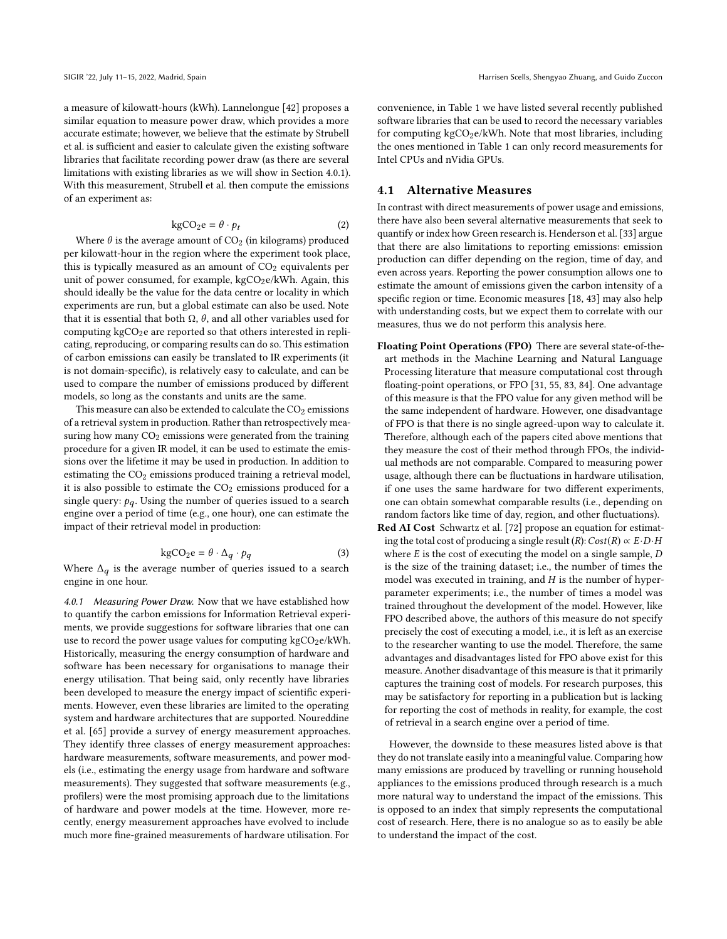a measure of kilowatt-hours (kWh). Lannelongue [\[42\]](#page-11-10) proposes a similar equation to measure power draw, which provides a more accurate estimate; however, we believe that the estimate by Strubell et al. is sufficient and easier to calculate given the existing software libraries that facilitate recording power draw (as there are several limitations with existing libraries as we will show in Section [4.0.1\)](#page-3-0). With this measurement, Strubell et al. then compute the emissions of an experiment as:

<span id="page-3-1"></span>
$$
kgCO_2e = \theta \cdot p_t
$$
 (2)

Where  $\theta$  is the average amount of  $CO<sub>2</sub>$  (in kilograms) produced<br>r kilowatt-bour in the region where the experiment took place per kilowatt-hour in the region where the experiment took place, this is typically measured as an amount of  $CO<sub>2</sub>$  equivalents per unit of power consumed, for example, kgCO<sub>2</sub>e/kWh. Again, this should ideally be the value for the data centre or locality in which experiments are run, but a global estimate can also be used. Note that it is essential that both  $Ω$ ,  $θ$ , and all other variables used for computing  $kgCO<sub>2</sub>e$  are reported so that others interested in replicating, reproducing, or comparing results can do so. This estimation of carbon emissions can easily be translated to IR experiments (it is not domain-specific), is relatively easy to calculate, and can be used to compare the number of emissions produced by different models, so long as the constants and units are the same.

This measure can also be extended to calculate the  $CO<sub>2</sub>$  emissions of a retrieval system in production. Rather than retrospectively measuring how many  $CO<sub>2</sub>$  emissions were generated from the training procedure for a given IR model, it can be used to estimate the emissions over the lifetime it may be used in production. In addition to estimating the CO<sub>2</sub> emissions produced training a retrieval model, it is also possible to estimate the  $CO<sub>2</sub>$  emissions produced for a single query:  $p_q$ . Using the number of queries issued to a search engine over a period of time (e.g., one hour), one can estimate the impact of their retrieval model in production:

<span id="page-3-2"></span>
$$
kgCO_2e = \theta \cdot \Delta_q \cdot p_q \tag{3}
$$

Where  $\Delta_q$  is the average number of queries issued to a search engine in one hour engine in one hour.

<span id="page-3-0"></span>4.0.1 Measuring Power Draw. Now that we have established how to quantify the carbon emissions for Information Retrieval experiments, we provide suggestions for software libraries that one can use to record the power usage values for computing kgCO<sub>2</sub>e/kWh. Historically, measuring the energy consumption of hardware and software has been necessary for organisations to manage their energy utilisation. That being said, only recently have libraries been developed to measure the energy impact of scientific experiments. However, even these libraries are limited to the operating system and hardware architectures that are supported. Noureddine et al. [\[65\]](#page-11-11) provide a survey of energy measurement approaches. They identify three classes of energy measurement approaches: hardware measurements, software measurements, and power models (i.e., estimating the energy usage from hardware and software measurements). They suggested that software measurements (e.g., profilers) were the most promising approach due to the limitations of hardware and power models at the time. However, more recently, energy measurement approaches have evolved to include much more fine-grained measurements of hardware utilisation. For

convenience, in Table [1](#page-2-1) we have listed several recently published software libraries that can be used to record the necessary variables for computing  $kgCO<sub>2</sub>e/kWh$ . Note that most libraries, including the ones mentioned in Table [1](#page-2-1) can only record measurements for Intel CPUs and nVidia GPUs.

#### 4.1 Alternative Measures

In contrast with direct measurements of power usage and emissions, there have also been several alternative measurements that seek to quantify or index how Green research is. Henderson et al. [\[33\]](#page-11-4) argue that there are also limitations to reporting emissions: emission production can differ depending on the region, time of day, and even across years. Reporting the power consumption allows one to estimate the amount of emissions given the carbon intensity of a specific region or time. Economic measures [\[18,](#page-10-19) [43\]](#page-11-12) may also help with understanding costs, but we expect them to correlate with our measures, thus we do not perform this analysis here.

- Floating Point Operations (FPO) There are several state-of-theart methods in the Machine Learning and Natural Language Processing literature that measure computational cost through floating-point operations, or FPO [\[31,](#page-11-13) [55,](#page-11-14) [83,](#page-12-12) [84\]](#page-12-15). One advantage of this measure is that the FPO value for any given method will be the same independent of hardware. However, one disadvantage of FPO is that there is no single agreed-upon way to calculate it. Therefore, although each of the papers cited above mentions that they measure the cost of their method through FPOs, the individual methods are not comparable. Compared to measuring power usage, although there can be fluctuations in hardware utilisation, if one uses the same hardware for two different experiments, one can obtain somewhat comparable results (i.e., depending on random factors like time of day, region, and other fluctuations).
- Red AI Cost Schwartz et al. [\[72\]](#page-12-4) propose an equation for estimating the total cost of producing a single result  $(R): Cost(R) \propto E \cdot D \cdot H$ where  $E$  is the cost of executing the model on a single sample,  $D$ is the size of the training dataset; i.e., the number of times the model was executed in training, and  $H$  is the number of hyperparameter experiments; i.e., the number of times a model was trained throughout the development of the model. However, like FPO described above, the authors of this measure do not specify precisely the cost of executing a model, i.e., it is left as an exercise to the researcher wanting to use the model. Therefore, the same advantages and disadvantages listed for FPO above exist for this measure. Another disadvantage of this measure is that it primarily captures the training cost of models. For research purposes, this may be satisfactory for reporting in a publication but is lacking for reporting the cost of methods in reality, for example, the cost of retrieval in a search engine over a period of time.

However, the downside to these measures listed above is that they do not translate easily into a meaningful value. Comparing how many emissions are produced by travelling or running household appliances to the emissions produced through research is a much more natural way to understand the impact of the emissions. This is opposed to an index that simply represents the computational cost of research. Here, there is no analogue so as to easily be able to understand the impact of the cost.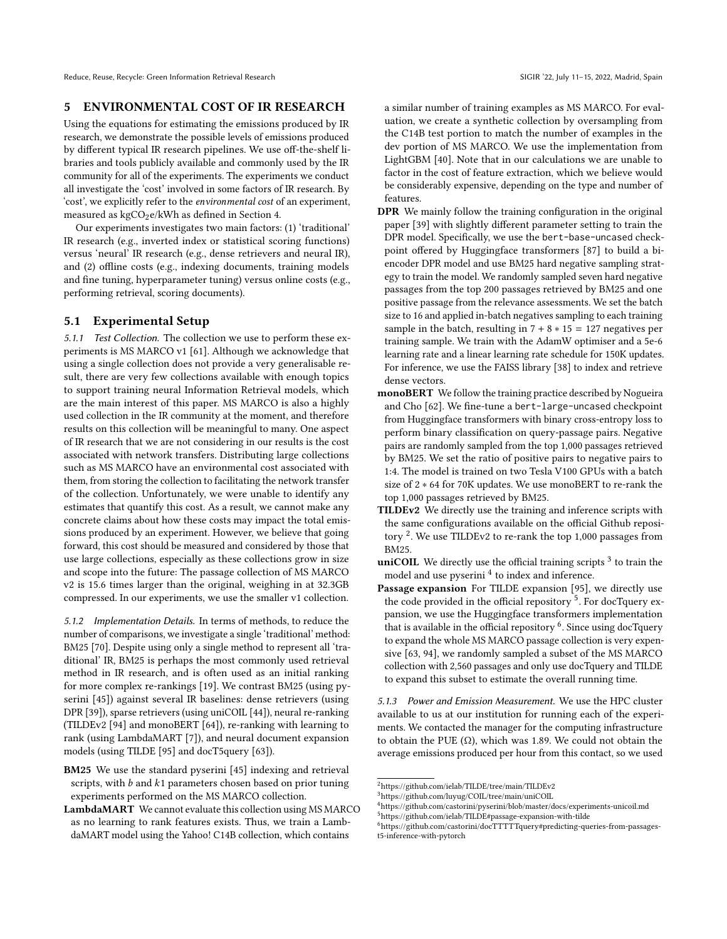# 5 ENVIRONMENTAL COST OF IR RESEARCH

Using the equations for estimating the emissions produced by IR research, we demonstrate the possible levels of emissions produced by different typical IR research pipelines. We use off-the-shelf libraries and tools publicly available and commonly used by the IR community for all of the experiments. The experiments we conduct all investigate the 'cost' involved in some factors of IR research. By 'cost', we explicitly refer to the environmental cost of an experiment, measured as kgCO<sub>2</sub>e/kWh as defined in Section [4.](#page-2-0)

Our experiments investigates two main factors: (1) 'traditional' IR research (e.g., inverted index or statistical scoring functions) versus 'neural' IR research (e.g., dense retrievers and neural IR), and (2) offline costs (e.g., indexing documents, training models and fine tuning, hyperparameter tuning) versus online costs (e.g., performing retrieval, scoring documents).

#### <span id="page-4-5"></span>5.1 Experimental Setup

5.1.1 Test Collection. The collection we use to perform these experiments is MS MARCO v1 [\[61\]](#page-11-15). Although we acknowledge that using a single collection does not provide a very generalisable result, there are very few collections available with enough topics to support training neural Information Retrieval models, which are the main interest of this paper. MS MARCO is also a highly used collection in the IR community at the moment, and therefore results on this collection will be meaningful to many. One aspect of IR research that we are not considering in our results is the cost associated with network transfers. Distributing large collections such as MS MARCO have an environmental cost associated with them, from storing the collection to facilitating the network transfer of the collection. Unfortunately, we were unable to identify any estimates that quantify this cost. As a result, we cannot make any concrete claims about how these costs may impact the total emissions produced by an experiment. However, we believe that going forward, this cost should be measured and considered by those that use large collections, especially as these collections grow in size and scope into the future: The passage collection of MS MARCO v2 is 15.6 times larger than the original, weighing in at 32.3GB compressed. In our experiments, we use the smaller v1 collection.

<span id="page-4-6"></span>5.1.2 Implementation Details. In terms of methods, to reduce the number of comparisons, we investigate a single 'traditional' method: BM25 [\[70\]](#page-12-16). Despite using only a single method to represent all 'traditional' IR, BM25 is perhaps the most commonly used retrieval method in IR research, and is often used as an initial ranking for more complex re-rankings [\[19\]](#page-10-20). We contrast BM25 (using pyserini [\[45\]](#page-11-16)) against several IR baselines: dense retrievers (using DPR [\[39\]](#page-11-17)), sparse retrievers (using uniCOIL [\[44\]](#page-11-7)), neural re-ranking (TILDEv2 [\[94\]](#page-12-2) and monoBERT [\[64\]](#page-11-18)), re-ranking with learning to rank (using LambdaMART [\[7\]](#page-10-21)), and neural document expansion models (using TILDE [\[95\]](#page-12-14) and docT5query [\[63\]](#page-11-19)).

BM25 We use the standard pyserini [\[45\]](#page-11-16) indexing and retrieval scripts, with  $b$  and  $k1$  parameters chosen based on prior tuning experiments performed on the MS MARCO collection.

a similar number of training examples as MS MARCO. For evaluation, we create a synthetic collection by oversampling from the C14B test portion to match the number of examples in the dev portion of MS MARCO. We use the implementation from LightGBM [\[40\]](#page-11-20). Note that in our calculations we are unable to factor in the cost of feature extraction, which we believe would be considerably expensive, depending on the type and number of features.

- DPR We mainly follow the training configuration in the original paper [\[39\]](#page-11-17) with slightly different parameter setting to train the DPR model. Specifically, we use the bert-base-uncased checkpoint offered by Huggingface transformers [\[87\]](#page-12-17) to build a biencoder DPR model and use BM25 hard negative sampling strategy to train the model. We randomly sampled seven hard negative passages from the top 200 passages retrieved by BM25 and one positive passage from the relevance assessments. We set the batch size to 16 and applied in-batch negatives sampling to each training sample in the batch, resulting in  $7 + 8 * 15 = 127$  negatives per training sample. We train with the AdamW optimiser and a 5e-6 learning rate and a linear learning rate schedule for 150K updates. For inference, we use the FAISS library [\[38\]](#page-11-21) to index and retrieve dense vectors.
- monoBERT We follow the training practice described by Nogueira and Cho [\[62\]](#page-11-22). We fine-tune a bert-large-uncased checkpoint from Huggingface transformers with binary cross-entropy loss to perform binary classification on query-passage pairs. Negative pairs are randomly sampled from the top 1,000 passages retrieved by BM25. We set the ratio of positive pairs to negative pairs to 1:4. The model is trained on two Tesla V100 GPUs with a batch size of 2 ∗ 64 for 70K updates. We use monoBERT to re-rank the top 1,000 passages retrieved by BM25.
- TILDEv2 We directly use the training and inference scripts with the same configurations available on the official Github reposi-tory<sup>[2](#page-4-0)</sup>. We use TILDEv2 to re-rank the top 1,000 passages from BM25.
- **uniCOIL** We directly use the official training scripts  $3$  to train the model and use pyserini<sup>[4](#page-4-2)</sup> to index and inference.
- Passage expansion For TILDE expansion [\[95\]](#page-12-14), we directly use the code provided in the official repository<sup>[5](#page-4-3)</sup>. For docTquery expansion, we use the Huggingface transformers implementation that is available in the official repository  $^6$  $^6$ . Since using docTquery to expand the whole MS MARCO passage collection is very expensive [\[63,](#page-11-19) [94\]](#page-12-2), we randomly sampled a subset of the MS MARCO collection with 2,560 passages and only use docTquery and TILDE to expand this subset to estimate the overall running time.

5.1.3 Power and Emission Measurement. We use the HPC cluster available to us at our institution for running each of the experiments. We contacted the manager for the computing infrastructure to obtain the PUE  $(\Omega)$ , which was 1.89. We could not obtain the average emissions produced per hour from this contact, so we used

LambdaMART We cannot evaluate this collection using MS MARCO as no learning to rank features exists. Thus, we train a LambdaMART model using the Yahoo! C14B collection, which contains

<span id="page-4-0"></span><sup>2</sup>https://github.com/ielab/TILDE/tree/main/TILDEv2

<span id="page-4-1"></span><sup>3</sup>https://github.com/luyug/COIL/tree/main/uniCOIL

<span id="page-4-3"></span><span id="page-4-2"></span> $^4$ https://github.com/castorini/pyserini/blob/master/docs/experiments-unicoil.md  $^{5}$ https://github.com/ielab/TILDE#passage-expansion-with-tilde $^{\rm 5}$ 

<span id="page-4-4"></span><sup>6</sup>https://github.com/castorini/docTTTTTquery#predicting-queries-from-passagest5-inference-with-pytorch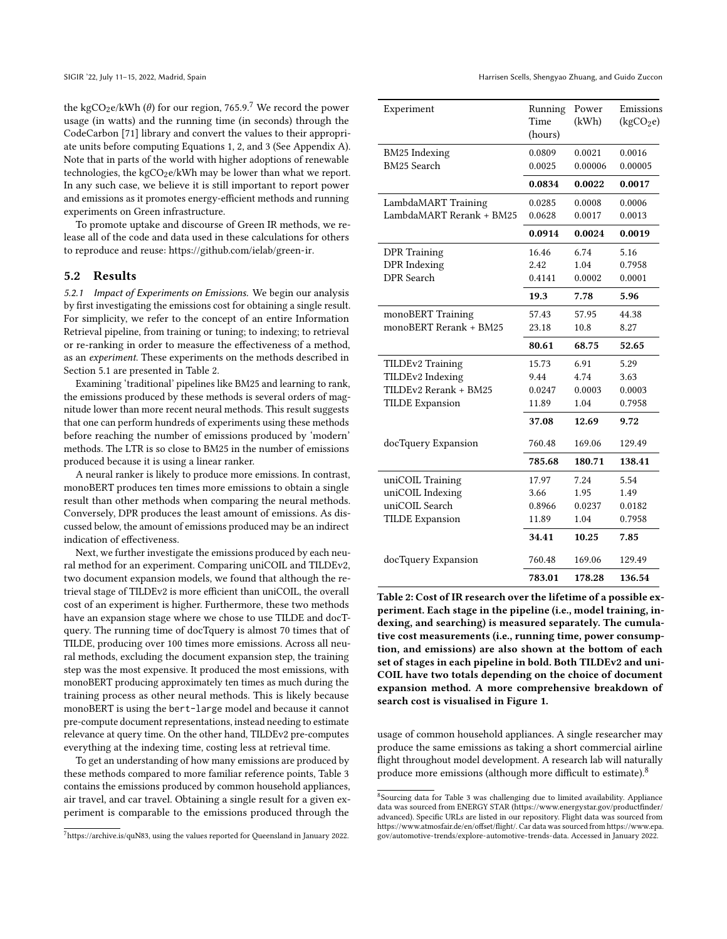the kgCO<sub>2</sub>e/kWh ( $\theta$ ) for our region, [7](#page-5-0)65.9.<sup>7</sup> We record the power usage (in watts) and the running time (in seconds) through the CodeCarbon [\[71\]](#page-12-8) library and convert the values to their appropriate units before computing Equations [1,](#page-2-3) [2,](#page-3-1) and [3](#page-3-2) (See Appendix [A\)](#page-10-22). Note that in parts of the world with higher adoptions of renewable technologies, the  $kgCO<sub>2</sub>e/kWh$  may be lower than what we report. In any such case, we believe it is still important to report power and emissions as it promotes energy-efficient methods and running experiments on Green infrastructure.

To promote uptake and discourse of Green IR methods, we release all of the code and data used in these calculations for others to reproduce and reuse: [https://github.com/ielab/green-ir.](https://github.com/ielab/green-ir)

#### <span id="page-5-3"></span>5.2 Results

5.2.1 Impact of Experiments on Emissions. We begin our analysis by first investigating the emissions cost for obtaining a single result. For simplicity, we refer to the concept of an entire Information Retrieval pipeline, from training or tuning; to indexing; to retrieval or re-ranking in order to measure the effectiveness of a method, as an experiment. These experiments on the methods described in Section [5.1](#page-4-5) are presented in Table [2.](#page-5-1)

Examining 'traditional' pipelines like BM25 and learning to rank, the emissions produced by these methods is several orders of magnitude lower than more recent neural methods. This result suggests that one can perform hundreds of experiments using these methods before reaching the number of emissions produced by 'modern' methods. The LTR is so close to BM25 in the number of emissions produced because it is using a linear ranker.

A neural ranker is likely to produce more emissions. In contrast, monoBERT produces ten times more emissions to obtain a single result than other methods when comparing the neural methods. Conversely, DPR produces the least amount of emissions. As discussed below, the amount of emissions produced may be an indirect indication of effectiveness.

Next, we further investigate the emissions produced by each neural method for an experiment. Comparing uniCOIL and TILDEv2, two document expansion models, we found that although the retrieval stage of TILDEv2 is more efficient than uniCOIL, the overall cost of an experiment is higher. Furthermore, these two methods have an expansion stage where we chose to use TILDE and docTquery. The running time of docTquery is almost 70 times that of TILDE, producing over 100 times more emissions. Across all neural methods, excluding the document expansion step, the training step was the most expensive. It produced the most emissions, with monoBERT producing approximately ten times as much during the training process as other neural methods. This is likely because monoBERT is using the bert-large model and because it cannot pre-compute document representations, instead needing to estimate relevance at query time. On the other hand, TILDEv2 pre-computes everything at the indexing time, costing less at retrieval time.

To get an understanding of how many emissions are produced by these methods compared to more familiar reference points, Table [3](#page-6-0) contains the emissions produced by common household appliances, air travel, and car travel. Obtaining a single result for a given experiment is comparable to the emissions produced through the

SIGIR '22, July 11-15, 2022, Madrid, Spain Harrisen Scells, Shengyao Zhuang, and Guido Zuccon

<span id="page-5-1"></span>

| Experiment                          | Running<br>Time<br>(hours) | Power<br>(kWh)    | Emissions<br>(kgCO <sub>2</sub> e) |
|-------------------------------------|----------------------------|-------------------|------------------------------------|
| <b>BM25</b> Indexing<br>BM25 Search | 0.0809<br>0.0025           | 0.0021<br>0.00006 | 0.0016<br>0.00005                  |
|                                     | 0.0834                     | 0.0022            | 0.0017                             |
| LambdaMART Training                 | 0.0285                     | 0.0008            | 0.0006                             |
| LambdaMART Rerank + BM25            | 0.0628                     | 0.0017            | 0.0013                             |
|                                     | 0.0914                     | 0.0024            | 0.0019                             |
| <b>DPR</b> Training                 | 16.46                      | 6.74              | 5.16                               |
| DPR Indexing                        | 2.42                       | 1.04              | 0.7958                             |
| DPR Search                          | 0.4141                     | 0.0002            | 0.0001                             |
|                                     | 19.3                       | 7.78              | 5.96                               |
| monoBERT Training                   | 57.43                      | 57.95             | 44.38                              |
| monoBERT Rerank + BM25              | 23.18                      | 10.8              | 8.27                               |
|                                     | 80.61                      | 68.75             | 52.65                              |
| <b>TILDEv2 Training</b>             | 15.73                      | 6.91              | 5.29                               |
| TILDEv2 Indexing                    | 9.44                       | 4.74              | 3.63                               |
| TILDEv2 Rerank + BM25               | 0.0247                     | 0.0003            | 0.0003                             |
| <b>TILDE</b> Expansion              | 11.89                      | 1.04              | 0.7958                             |
|                                     | 37.08                      | 12.69             | 9.72                               |
| docTquery Expansion                 | 760.48                     | 169.06            | 129.49                             |
|                                     | 785.68                     | 180.71            | 138.41                             |
| uniCOIL Training                    | 17.97                      | 7.24              | 5.54                               |
| uniCOIL Indexing                    | 3.66                       | 1.95              | 1.49                               |
| uniCOIL Search                      | 0.8966                     | 0.0237            | 0.0182                             |
| <b>TILDE</b> Expansion              | 11.89                      | 1.04              | 0.7958                             |
|                                     | 34.41                      | 10.25             | 7.85                               |
| docTquery Expansion                 | 760.48                     | 169.06            | 129.49                             |
|                                     | 783.01                     | 178.28            | 136.54                             |

Table 2: Cost of IR research over the lifetime of a possible experiment. Each stage in the pipeline (i.e., model training, indexing, and searching) is measured separately. The cumulative cost measurements (i.e., running time, power consumption, and emissions) are also shown at the bottom of each set of stages in each pipeline in bold. Both TILDEv2 and uni-COIL have two totals depending on the choice of document expansion method. A more comprehensive breakdown of search cost is visualised in Figure [1.](#page-6-1)

usage of common household appliances. A single researcher may produce the same emissions as taking a short commercial airline flight throughout model development. A research lab will naturally produce more emissions (although more difficult to estimate).[8](#page-5-2)

<span id="page-5-0"></span><sup>7</sup>[https://archive.is/quN83,](https://archive.is/quN83) using the values reported for Queensland in January 2022.

<span id="page-5-2"></span><sup>8</sup> Sourcing data for Table [3](#page-6-0) was challenging due to limited availability. Appliance data was sourced from ENERGY STAR [\(https://www.energystar.gov/productfinder/](https://www.energystar.gov/productfinder/advanced) [advanced\)](https://www.energystar.gov/productfinder/advanced). Specific URLs are listed in our repository. Flight data was sourced from [https://www.atmosfair.de/en/offset/flight/.](https://www.atmosfair.de/en/offset/flight/) Car data was sourced from [https://www.epa.](https://www.epa.gov/automotive-trends/explore-automotive-trends-data) [gov/automotive-trends/explore-automotive-trends-data.](https://www.epa.gov/automotive-trends/explore-automotive-trends-data) Accessed in January 2022.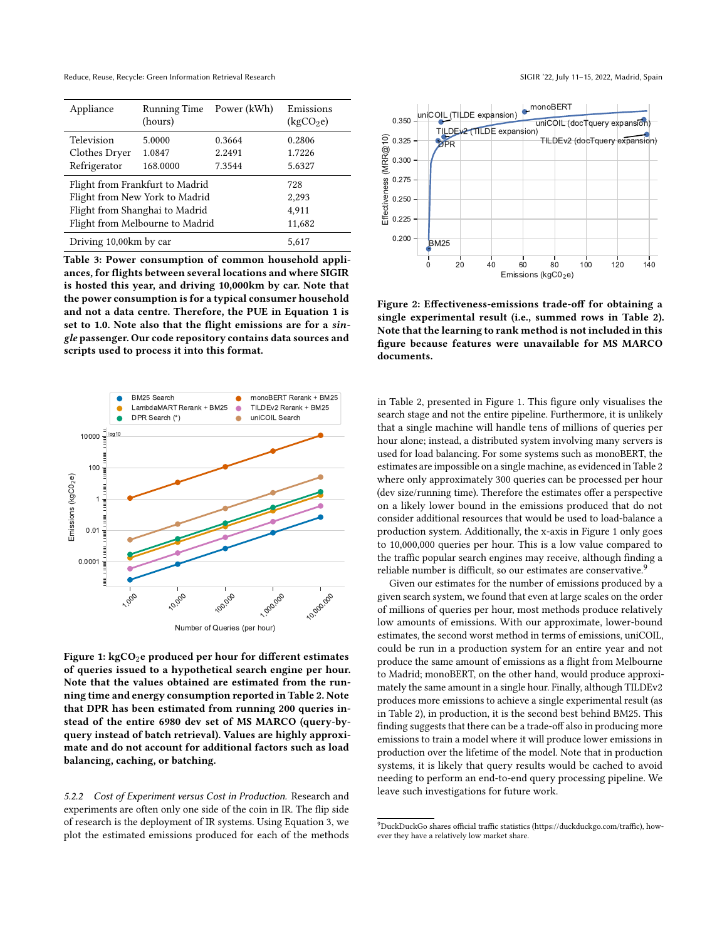Reduce, Reuse, Recycle: Green Information Retrieval Research SIGIR '22, July 11-15, 2022, Madrid, Spain

<span id="page-6-0"></span>

| Appliance                       | <b>Running Time</b><br>(hours) | Power (kWh) | Emissions<br>(kgCO <sub>2</sub> e) |
|---------------------------------|--------------------------------|-------------|------------------------------------|
| Television                      | 5.0000                         | 0.3664      | 0.2806                             |
| Clothes Dryer                   | 1.0847                         | 2.2491      | 1.7226                             |
| Refrigerator                    | 168.0000                       | 7.3544      | 5.6327                             |
| Flight from Frankfurt to Madrid | 728                            |             |                                    |
| Flight from New York to Madrid  | 2,293                          |             |                                    |
| Flight from Shanghai to Madrid  | 4,911                          |             |                                    |
| Flight from Melbourne to Madrid | 11,682                         |             |                                    |
| Driving 10,00km by car          | 5.617                          |             |                                    |

Table 3: Power consumption of common household appliances, for flights between several locations and where SIGIR is hosted this year, and driving 10,000km by car. Note that the power consumption is for a typical consumer household and not a data centre. Therefore, the PUE in Equation [1](#page-2-3) is set to 1.0. Note also that the flight emissions are for a single passenger. Our code repository contains data sources and scripts used to process it into this format.

<span id="page-6-1"></span>

Figure 1: kgCO<sub>2</sub>e produced per hour for different estimates of queries issued to a hypothetical search engine per hour. Note that the values obtained are estimated from the running time and energy consumption reported in Table [2.](#page-5-1) Note that DPR has been estimated from running 200 queries instead of the entire 6980 dev set of MS MARCO (query-byquery instead of batch retrieval). Values are highly approximate and do not account for additional factors such as load balancing, caching, or batching.

5.2.2 Cost of Experiment versus Cost in Production. Research and experiments are often only one side of the coin in IR. The flip side of research is the deployment of IR systems. Using Equation [3,](#page-3-2) we plot the estimated emissions produced for each of the methods

<span id="page-6-3"></span>

Figure 2: Effectiveness-emissions trade-off for obtaining a single experimental result (i.e., summed rows in Table [2\)](#page-5-1). Note that the learning to rank method is not included in this figure because features were unavailable for MS MARCO documents.

in Table [2,](#page-5-1) presented in Figure [1.](#page-6-1) This figure only visualises the search stage and not the entire pipeline. Furthermore, it is unlikely that a single machine will handle tens of millions of queries per hour alone; instead, a distributed system involving many servers is used for load balancing. For some systems such as monoBERT, the estimates are impossible on a single machine, as evidenced in Table [2](#page-5-1) where only approximately 300 queries can be processed per hour (dev size/running time). Therefore the estimates offer a perspective on a likely lower bound in the emissions produced that do not consider additional resources that would be used to load-balance a production system. Additionally, the x-axis in Figure [1](#page-6-1) only goes to 10,000,000 queries per hour. This is a low value compared to the traffic popular search engines may receive, although finding a reliable number is difficult, so our estimates are conservative.<sup>[9](#page-6-2)</sup>

Given our estimates for the number of emissions produced by a given search system, we found that even at large scales on the order of millions of queries per hour, most methods produce relatively low amounts of emissions. With our approximate, lower-bound estimates, the second worst method in terms of emissions, uniCOIL, could be run in a production system for an entire year and not produce the same amount of emissions as a flight from Melbourne to Madrid; monoBERT, on the other hand, would produce approximately the same amount in a single hour. Finally, although TILDEv2 produces more emissions to achieve a single experimental result (as in Table [2\)](#page-5-1), in production, it is the second best behind BM25. This finding suggests that there can be a trade-off also in producing more emissions to train a model where it will produce lower emissions in production over the lifetime of the model. Note that in production systems, it is likely that query results would be cached to avoid needing to perform an end-to-end query processing pipeline. We leave such investigations for future work.

<span id="page-6-2"></span> $^{9}$  DuckDuckGo shares official traffic statistics [\(https://duckduckgo.com/traffic\)](https://duckduckgo.com/traffic), however they have a relatively low market share.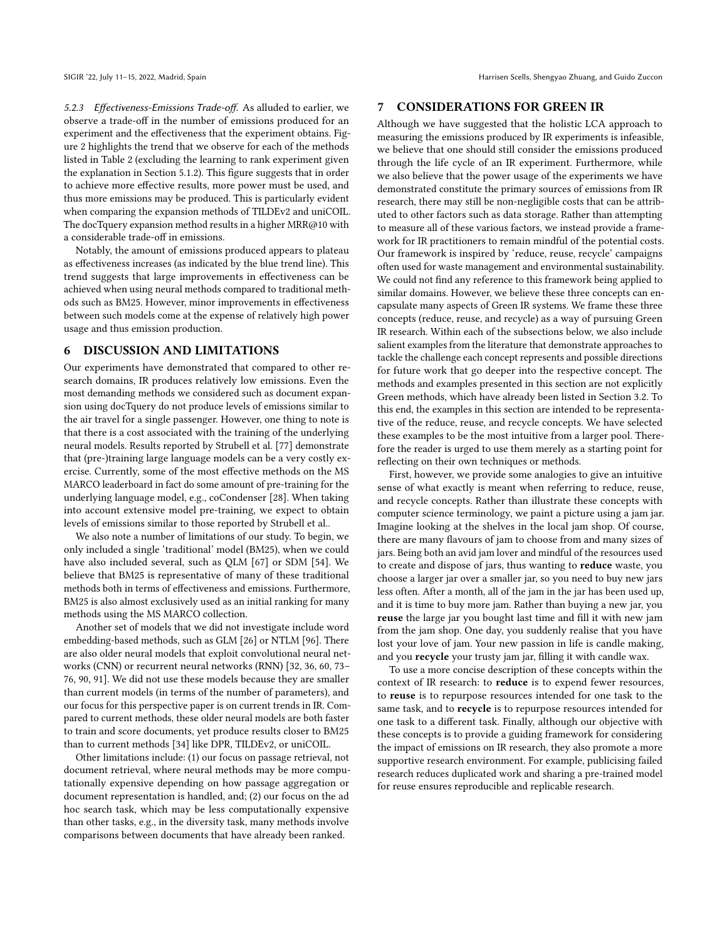5.2.3 Effectiveness-Emissions Trade-off. As alluded to earlier, we observe a trade-off in the number of emissions produced for an experiment and the effectiveness that the experiment obtains. Figure [2](#page-6-3) highlights the trend that we observe for each of the methods listed in Table [2](#page-5-1) (excluding the learning to rank experiment given the explanation in Section [5.1.2\)](#page-4-6). This figure suggests that in order to achieve more effective results, more power must be used, and thus more emissions may be produced. This is particularly evident when comparing the expansion methods of TILDEv2 and uniCOIL. The docTquery expansion method results in a higher MRR@10 with a considerable trade-off in emissions.

Notably, the amount of emissions produced appears to plateau as effectiveness increases (as indicated by the blue trend line). This trend suggests that large improvements in effectiveness can be achieved when using neural methods compared to traditional methods such as BM25. However, minor improvements in effectiveness between such models come at the expense of relatively high power usage and thus emission production.

### 6 DISCUSSION AND LIMITATIONS

Our experiments have demonstrated that compared to other research domains, IR produces relatively low emissions. Even the most demanding methods we considered such as document expansion using docTquery do not produce levels of emissions similar to the air travel for a single passenger. However, one thing to note is that there is a cost associated with the training of the underlying neural models. Results reported by Strubell et al. [\[77\]](#page-12-3) demonstrate that (pre-)training large language models can be a very costly exercise. Currently, some of the most effective methods on the MS MARCO leaderboard in fact do some amount of pre-training for the underlying language model, e.g., coCondenser [\[28\]](#page-10-23). When taking into account extensive model pre-training, we expect to obtain levels of emissions similar to those reported by Strubell et al..

We also note a number of limitations of our study. To begin, we only included a single 'traditional' model (BM25), when we could have also included several, such as QLM [\[67\]](#page-11-23) or SDM [\[54\]](#page-11-24). We believe that BM25 is representative of many of these traditional methods both in terms of effectiveness and emissions. Furthermore, BM25 is also almost exclusively used as an initial ranking for many methods using the MS MARCO collection.

Another set of models that we did not investigate include word embedding-based methods, such as GLM [\[26\]](#page-10-24) or NTLM [\[96\]](#page-12-18). There are also older neural models that exploit convolutional neural networks (CNN) or recurrent neural networks (RNN) [\[32,](#page-11-25) [36,](#page-11-26) [60,](#page-11-27) [73–](#page-12-19) [76,](#page-12-20) [90,](#page-12-21) [91\]](#page-12-22). We did not use these models because they are smaller than current models (in terms of the number of parameters), and our focus for this perspective paper is on current trends in IR. Compared to current methods, these older neural models are both faster to train and score documents, yet produce results closer to BM25 than to current methods [\[34\]](#page-11-28) like DPR, TILDEv2, or uniCOIL.

Other limitations include: (1) our focus on passage retrieval, not document retrieval, where neural methods may be more computationally expensive depending on how passage aggregation or document representation is handled, and; (2) our focus on the ad hoc search task, which may be less computationally expensive than other tasks, e.g., in the diversity task, many methods involve comparisons between documents that have already been ranked.

#### 7 CONSIDERATIONS FOR GREEN IR

Although we have suggested that the holistic LCA approach to measuring the emissions produced by IR experiments is infeasible, we believe that one should still consider the emissions produced through the life cycle of an IR experiment. Furthermore, while we also believe that the power usage of the experiments we have demonstrated constitute the primary sources of emissions from IR research, there may still be non-negligible costs that can be attributed to other factors such as data storage. Rather than attempting to measure all of these various factors, we instead provide a framework for IR practitioners to remain mindful of the potential costs. Our framework is inspired by 'reduce, reuse, recycle' campaigns often used for waste management and environmental sustainability. We could not find any reference to this framework being applied to similar domains. However, we believe these three concepts can encapsulate many aspects of Green IR systems. We frame these three concepts (reduce, reuse, and recycle) as a way of pursuing Green IR research. Within each of the subsections below, we also include salient examples from the literature that demonstrate approaches to tackle the challenge each concept represents and possible directions for future work that go deeper into the respective concept. The methods and examples presented in this section are not explicitly Green methods, which have already been listed in Section [3.2.](#page-2-4) To this end, the examples in this section are intended to be representative of the reduce, reuse, and recycle concepts. We have selected these examples to be the most intuitive from a larger pool. Therefore the reader is urged to use them merely as a starting point for reflecting on their own techniques or methods.

First, however, we provide some analogies to give an intuitive sense of what exactly is meant when referring to reduce, reuse, and recycle concepts. Rather than illustrate these concepts with computer science terminology, we paint a picture using a jam jar. Imagine looking at the shelves in the local jam shop. Of course, there are many flavours of jam to choose from and many sizes of jars. Being both an avid jam lover and mindful of the resources used to create and dispose of jars, thus wanting to reduce waste, you choose a larger jar over a smaller jar, so you need to buy new jars less often. After a month, all of the jam in the jar has been used up, and it is time to buy more jam. Rather than buying a new jar, you reuse the large jar you bought last time and fill it with new jam from the jam shop. One day, you suddenly realise that you have lost your love of jam. Your new passion in life is candle making, and you recycle your trusty jam jar, filling it with candle wax.

To use a more concise description of these concepts within the context of IR research: to reduce is to expend fewer resources, to reuse is to repurpose resources intended for one task to the same task, and to recycle is to repurpose resources intended for one task to a different task. Finally, although our objective with these concepts is to provide a guiding framework for considering the impact of emissions on IR research, they also promote a more supportive research environment. For example, publicising failed research reduces duplicated work and sharing a pre-trained model for reuse ensures reproducible and replicable research.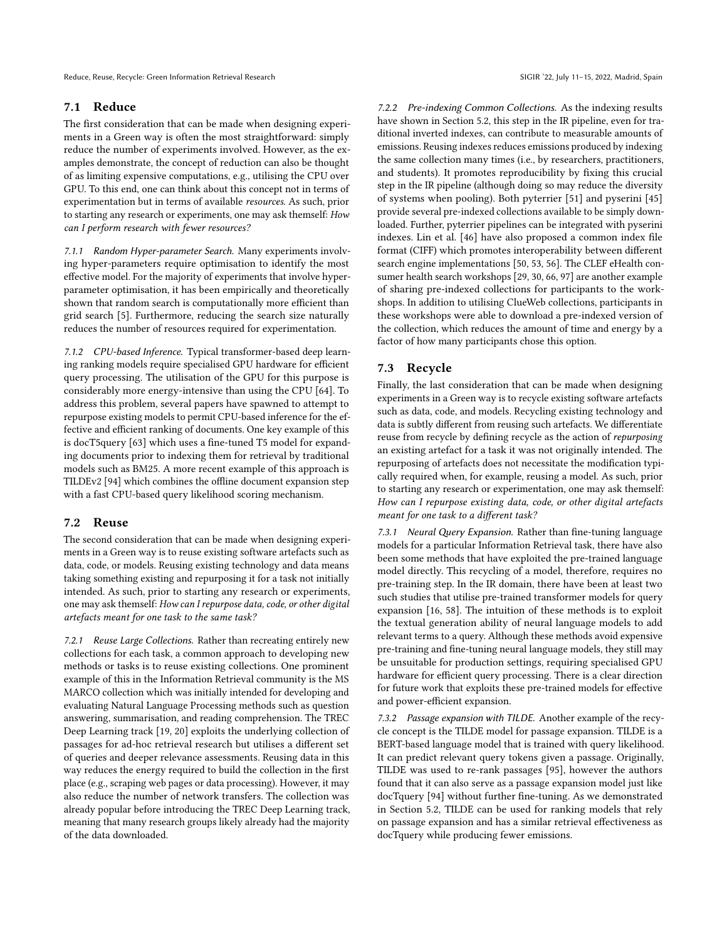# 7.1 Reduce

The first consideration that can be made when designing experiments in a Green way is often the most straightforward: simply reduce the number of experiments involved. However, as the examples demonstrate, the concept of reduction can also be thought of as limiting expensive computations, e.g., utilising the CPU over GPU. To this end, one can think about this concept not in terms of experimentation but in terms of available resources. As such, prior to starting any research or experiments, one may ask themself: How can I perform research with fewer resources?

7.1.1 Random Hyper-parameter Search. Many experiments involving hyper-parameters require optimisation to identify the most effective model. For the majority of experiments that involve hyperparameter optimisation, it has been empirically and theoretically shown that random search is computationally more efficient than grid search [\[5\]](#page-10-25). Furthermore, reducing the search size naturally reduces the number of resources required for experimentation.

7.1.2 CPU-based Inference. Typical transformer-based deep learning ranking models require specialised GPU hardware for efficient query processing. The utilisation of the GPU for this purpose is considerably more energy-intensive than using the CPU [\[64\]](#page-11-18). To address this problem, several papers have spawned to attempt to repurpose existing models to permit CPU-based inference for the effective and efficient ranking of documents. One key example of this is docT5query [\[63\]](#page-11-19) which uses a fine-tuned T5 model for expanding documents prior to indexing them for retrieval by traditional models such as BM25. A more recent example of this approach is TILDEv2 [\[94\]](#page-12-2) which combines the offline document expansion step with a fast CPU-based query likelihood scoring mechanism.

# 7.2 Reuse

The second consideration that can be made when designing experiments in a Green way is to reuse existing software artefacts such as data, code, or models. Reusing existing technology and data means taking something existing and repurposing it for a task not initially intended. As such, prior to starting any research or experiments, one may ask themself: How can I repurpose data, code, or other digital artefacts meant for one task to the same task?

7.2.1 Reuse Large Collections. Rather than recreating entirely new collections for each task, a common approach to developing new methods or tasks is to reuse existing collections. One prominent example of this in the Information Retrieval community is the MS MARCO collection which was initially intended for developing and evaluating Natural Language Processing methods such as question answering, summarisation, and reading comprehension. The TREC Deep Learning track [\[19,](#page-10-20) [20\]](#page-10-26) exploits the underlying collection of passages for ad-hoc retrieval research but utilises a different set of queries and deeper relevance assessments. Reusing data in this way reduces the energy required to build the collection in the first place (e.g., scraping web pages or data processing). However, it may also reduce the number of network transfers. The collection was already popular before introducing the TREC Deep Learning track, meaning that many research groups likely already had the majority of the data downloaded.

7.2.2 Pre-indexing Common Collections. As the indexing results have shown in Section [5.2,](#page-5-3) this step in the IR pipeline, even for traditional inverted indexes, can contribute to measurable amounts of emissions. Reusing indexes reduces emissions produced by indexing the same collection many times (i.e., by researchers, practitioners, and students). It promotes reproducibility by fixing this crucial step in the IR pipeline (although doing so may reduce the diversity of systems when pooling). Both pyterrier [\[51\]](#page-11-29) and pyserini [\[45\]](#page-11-16) provide several pre-indexed collections available to be simply downloaded. Further, pyterrier pipelines can be integrated with pyserini indexes. Lin et al. [\[46\]](#page-11-30) have also proposed a common index file format (CIFF) which promotes interoperability between different search engine implementations [\[50,](#page-11-31) [53,](#page-11-32) [56\]](#page-11-33). The CLEF eHealth consumer health search workshops [\[29,](#page-11-34) [30,](#page-11-35) [66,](#page-11-36) [97\]](#page-12-23) are another example of sharing pre-indexed collections for participants to the workshops. In addition to utilising ClueWeb collections, participants in these workshops were able to download a pre-indexed version of the collection, which reduces the amount of time and energy by a factor of how many participants chose this option.

# 7.3 Recycle

Finally, the last consideration that can be made when designing experiments in a Green way is to recycle existing software artefacts such as data, code, and models. Recycling existing technology and data is subtly different from reusing such artefacts. We differentiate reuse from recycle by defining recycle as the action of repurposing an existing artefact for a task it was not originally intended. The repurposing of artefacts does not necessitate the modification typically required when, for example, reusing a model. As such, prior to starting any research or experimentation, one may ask themself: How can I repurpose existing data, code, or other digital artefacts meant for one task to a different task?

7.3.1 Neural Query Expansion. Rather than fine-tuning language models for a particular Information Retrieval task, there have also been some methods that have exploited the pre-trained language model directly. This recycling of a model, therefore, requires no pre-training step. In the IR domain, there have been at least two such studies that utilise pre-trained transformer models for query expansion [\[16,](#page-10-27) [58\]](#page-11-37). The intuition of these methods is to exploit the textual generation ability of neural language models to add relevant terms to a query. Although these methods avoid expensive pre-training and fine-tuning neural language models, they still may be unsuitable for production settings, requiring specialised GPU hardware for efficient query processing. There is a clear direction for future work that exploits these pre-trained models for effective and power-efficient expansion.

7.3.2 Passage expansion with TILDE. Another example of the recycle concept is the TILDE model for passage expansion. TILDE is a BERT-based language model that is trained with query likelihood. It can predict relevant query tokens given a passage. Originally, TILDE was used to re-rank passages [\[95\]](#page-12-14), however the authors found that it can also serve as a passage expansion model just like docTquery [\[94\]](#page-12-2) without further fine-tuning. As we demonstrated in Section 5.2, TILDE can be used for ranking models that rely on passage expansion and has a similar retrieval effectiveness as docTquery while producing fewer emissions.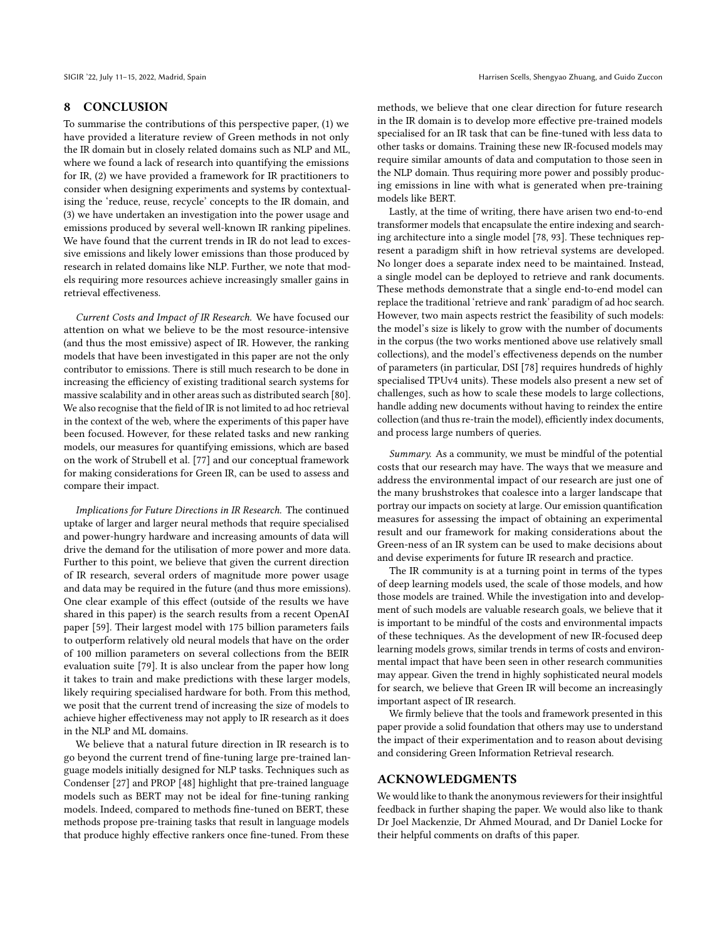#### 8 CONCLUSION

To summarise the contributions of this perspective paper, (1) we have provided a literature review of Green methods in not only the IR domain but in closely related domains such as NLP and ML, where we found a lack of research into quantifying the emissions for IR, (2) we have provided a framework for IR practitioners to consider when designing experiments and systems by contextualising the 'reduce, reuse, recycle' concepts to the IR domain, and (3) we have undertaken an investigation into the power usage and emissions produced by several well-known IR ranking pipelines. We have found that the current trends in IR do not lead to excessive emissions and likely lower emissions than those produced by research in related domains like NLP. Further, we note that models requiring more resources achieve increasingly smaller gains in retrieval effectiveness.

Current Costs and Impact of IR Research. We have focused our attention on what we believe to be the most resource-intensive (and thus the most emissive) aspect of IR. However, the ranking models that have been investigated in this paper are not the only contributor to emissions. There is still much research to be done in increasing the efficiency of existing traditional search systems for massive scalability and in other areas such as distributed search [\[80\]](#page-12-24). We also recognise that the field of IR is not limited to ad hoc retrieval in the context of the web, where the experiments of this paper have been focused. However, for these related tasks and new ranking models, our measures for quantifying emissions, which are based on the work of Strubell et al. [\[77\]](#page-12-3) and our conceptual framework for making considerations for Green IR, can be used to assess and compare their impact.

Implications for Future Directions in IR Research. The continued uptake of larger and larger neural methods that require specialised and power-hungry hardware and increasing amounts of data will drive the demand for the utilisation of more power and more data. Further to this point, we believe that given the current direction of IR research, several orders of magnitude more power usage and data may be required in the future (and thus more emissions). One clear example of this effect (outside of the results we have shared in this paper) is the search results from a recent OpenAI paper [\[59\]](#page-11-38). Their largest model with 175 billion parameters fails to outperform relatively old neural models that have on the order of 100 million parameters on several collections from the BEIR evaluation suite [\[79\]](#page-12-25). It is also unclear from the paper how long it takes to train and make predictions with these larger models, likely requiring specialised hardware for both. From this method, we posit that the current trend of increasing the size of models to achieve higher effectiveness may not apply to IR research as it does in the NLP and ML domains.

We believe that a natural future direction in IR research is to go beyond the current trend of fine-tuning large pre-trained language models initially designed for NLP tasks. Techniques such as Condenser [\[27\]](#page-10-28) and PROP [\[48\]](#page-11-39) highlight that pre-trained language models such as BERT may not be ideal for fine-tuning ranking models. Indeed, compared to methods fine-tuned on BERT, these methods propose pre-training tasks that result in language models that produce highly effective rankers once fine-tuned. From these

methods, we believe that one clear direction for future research in the IR domain is to develop more effective pre-trained models specialised for an IR task that can be fine-tuned with less data to other tasks or domains. Training these new IR-focused models may require similar amounts of data and computation to those seen in the NLP domain. Thus requiring more power and possibly producing emissions in line with what is generated when pre-training models like BERT.

Lastly, at the time of writing, there have arisen two end-to-end transformer models that encapsulate the entire indexing and searching architecture into a single model [\[78,](#page-12-26) [93\]](#page-12-27). These techniques represent a paradigm shift in how retrieval systems are developed. No longer does a separate index need to be maintained. Instead, a single model can be deployed to retrieve and rank documents. These methods demonstrate that a single end-to-end model can replace the traditional 'retrieve and rank' paradigm of ad hoc search. However, two main aspects restrict the feasibility of such models: the model's size is likely to grow with the number of documents in the corpus (the two works mentioned above use relatively small collections), and the model's effectiveness depends on the number of parameters (in particular, DSI [\[78\]](#page-12-26) requires hundreds of highly specialised TPUv4 units). These models also present a new set of challenges, such as how to scale these models to large collections, handle adding new documents without having to reindex the entire collection (and thus re-train the model), efficiently index documents, and process large numbers of queries.

Summary. As a community, we must be mindful of the potential costs that our research may have. The ways that we measure and address the environmental impact of our research are just one of the many brushstrokes that coalesce into a larger landscape that portray our impacts on society at large. Our emission quantification measures for assessing the impact of obtaining an experimental result and our framework for making considerations about the Green-ness of an IR system can be used to make decisions about and devise experiments for future IR research and practice.

The IR community is at a turning point in terms of the types of deep learning models used, the scale of those models, and how those models are trained. While the investigation into and development of such models are valuable research goals, we believe that it is important to be mindful of the costs and environmental impacts of these techniques. As the development of new IR-focused deep learning models grows, similar trends in terms of costs and environmental impact that have been seen in other research communities may appear. Given the trend in highly sophisticated neural models for search, we believe that Green IR will become an increasingly important aspect of IR research.

We firmly believe that the tools and framework presented in this paper provide a solid foundation that others may use to understand the impact of their experimentation and to reason about devising and considering Green Information Retrieval research.

#### ACKNOWLEDGMENTS

We would like to thank the anonymous reviewers for their insightful feedback in further shaping the paper. We would also like to thank Dr Joel Mackenzie, Dr Ahmed Mourad, and Dr Daniel Locke for their helpful comments on drafts of this paper.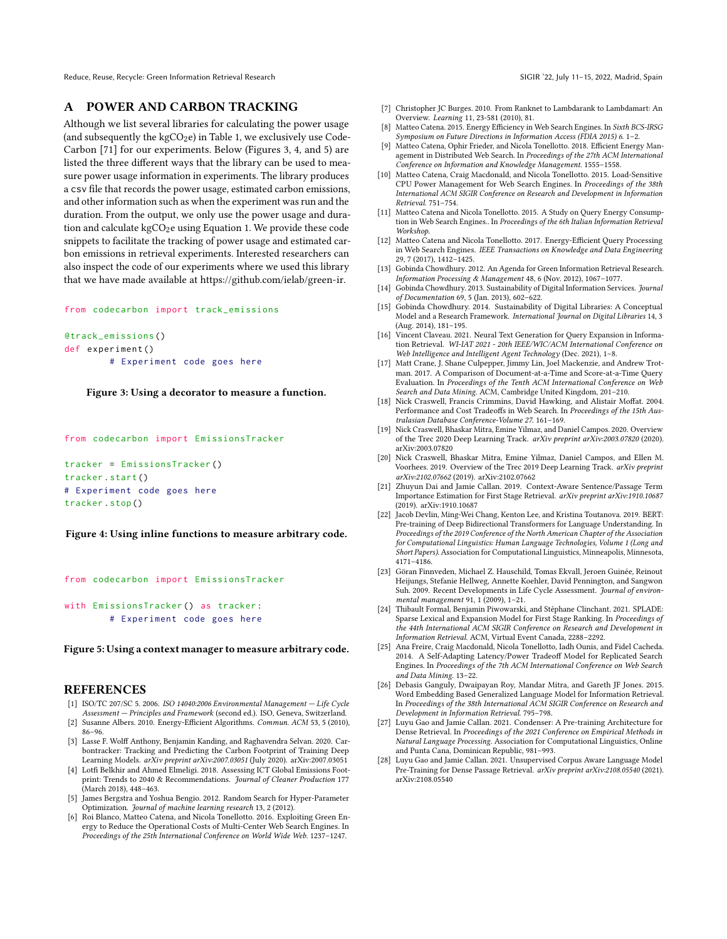# <span id="page-10-22"></span>A POWER AND CARBON TRACKING

Although we list several libraries for calculating the power usage (and subsequently the  $kgCO_2e$ ) in Table [1,](#page-2-1) we exclusively use Code-Carbon [\[71\]](#page-12-8) for our experiments. Below (Figures [3,](#page-10-29) [4,](#page-10-30) and [5\)](#page-10-31) are listed the three different ways that the library can be used to measure power usage information in experiments. The library produces a csv file that records the power usage, estimated carbon emissions, and other information such as when the experiment was run and the duration. From the output, we only use the power usage and duration and calculate  $kgCO<sub>2</sub>e$  using Equation [1.](#page-2-3) We provide these code snippets to facilitate the tracking of power usage and estimated carbon emissions in retrieval experiments. Interested researchers can also inspect the code of our experiments where we used this library that we have made available at [https://github.com/ielab/green-ir.](https://github.com/ielab/green-ir)

#### <span id="page-10-29"></span>from codecarbon import track\_emissions

```
@track_emissions ()
def experiment ()
        # Experiment code goes here
```
#### Figure 3: Using a decorator to measure a function.

<span id="page-10-30"></span>from codecarbon import EmissionsTracker

```
tracker = EmissionsTracker ()
tracker . start ()
# Experiment code goes here
tracker . stop ()
```
#### Figure 4: Using inline functions to measure arbitrary code.

```
from codecarbon import EmissionsTracker
with EmissionsTracker () as tracker :
```

```
# Experiment code goes here
```
#### Figure 5: Using a context manager to measure arbitrary code.

#### **REFERENCES**

- <span id="page-10-5"></span>[1] ISO/TC 207/SC 5. 2006. ISO 14040:2006 Environmental Management — Life Cycle Assessment — Principles and Framework (second ed.). ISO, Geneva, Switzerland.
- <span id="page-10-1"></span>[2] Susanne Albers. 2010. Energy-Efficient Algorithms. Commun. ACM 53, 5 (2010), 86–96.
- <span id="page-10-6"></span>[3] Lasse F. Wolff Anthony, Benjamin Kanding, and Raghavendra Selvan. 2020. Carbontracker: Tracking and Predicting the Carbon Footprint of Training Deep Learning Models. arXiv preprint arXiv[:2007.03051](https://arxiv.org/abs/2007.03051) (July 2020). arXiv:2007.03051
- <span id="page-10-2"></span>[4] Lotfi Belkhir and Ahmed Elmeligi. 2018. Assessing ICT Global Emissions Footprint: Trends to 2040 & Recommendations. Journal of Cleaner Production 177 (March 2018), 448–463.
- <span id="page-10-25"></span>[5] James Bergstra and Yoshua Bengio. 2012. Random Search for Hyper-Parameter Optimization. Journal of machine learning research 13, 2 (2012).
- <span id="page-10-14"></span>[6] Roi Blanco, Matteo Catena, and Nicola Tonellotto. 2016. Exploiting Green Energy to Reduce the Operational Costs of Multi-Center Web Search Engines. In Proceedings of the 25th International Conference on World Wide Web. 1237–1247.
- <span id="page-10-21"></span>[7] Christopher JC Burges. 2010. From Ranknet to Lambdarank to Lambdamart: An Overview. Learning 11, 23-581 (2010), 81.
- <span id="page-10-9"></span>[8] Matteo Catena. 2015. Energy Efficiency in Web Search Engines. In Sixth BCS-IRSG Symposium on Future Directions in Information Access (FDIA 2015) 6. 1–2.
- <span id="page-10-13"></span>[9] Matteo Catena, Ophir Frieder, and Nicola Tonellotto. 2018. Efficient Energy Management in Distributed Web Search. In Proceedings of the 27th ACM International Conference on Information and Knowledge Management. 1555–1558.
- <span id="page-10-11"></span>[10] Matteo Catena, Craig Macdonald, and Nicola Tonellotto. 2015. Load-Sensitive CPU Power Management for Web Search Engines. In Proceedings of the 38th International ACM SIGIR Conference on Research and Development in Information Retrieval. 751–754.
- <span id="page-10-10"></span>[11] Matteo Catena and Nicola Tonellotto. 2015. A Study on Query Energy Consumption in Web Search Engines.. In Proceedings of the 6th Italian Information Retrieval Workshop.
- <span id="page-10-12"></span>[12] Matteo Catena and Nicola Tonellotto. 2017. Energy-Efficient Query Processing in Web Search Engines. IEEE Transactions on Knowledge and Data Engineering 29, 7 (2017), 1412–1425.
- <span id="page-10-3"></span>[13] Gobinda Chowdhury. 2012. An Agenda for Green Information Retrieval Research. Information Processing & Management 48, 6 (Nov. 2012), 1067–1077.
- <span id="page-10-7"></span>[14] Gobinda Chowdhury. 2013. Sustainability of Digital Information Services. Journal of Documentation 69, 5 (Jan. 2013), 602–622.
- <span id="page-10-8"></span>[15] Gobinda Chowdhury. 2014. Sustainability of Digital Libraries: A Conceptual Model and a Research Framework. International Journal on Digital Libraries 14, 3 (Aug. 2014), 181–195.
- <span id="page-10-27"></span>[16] Vincent Claveau. 2021. Neural Text Generation for Query Expansion in Information Retrieval. WI-IAT 2021 - 20th IEEE/WIC/ACM International Conference on Web Intelligence and Intelligent Agent Technology (Dec. 2021), 1–8.
- <span id="page-10-15"></span>[17] Matt Crane, J. Shane Culpepper, Jimmy Lin, Joel Mackenzie, and Andrew Trotman. 2017. A Comparison of Document-at-a-Time and Score-at-a-Time Query Evaluation. In Proceedings of the Tenth ACM International Conference on Web Search and Data Mining. ACM, Cambridge United Kingdom, 201–210.
- <span id="page-10-19"></span>[18] Nick Craswell, Francis Crimmins, David Hawking, and Alistair Moffat. 2004. Performance and Cost Tradeoffs in Web Search. In Proceedings of the 15th Australasian Database Conference-Volume 27. 161–169.
- <span id="page-10-20"></span>[19] Nick Craswell, Bhaskar Mitra, Emine Yilmaz, and Daniel Campos. 2020. Overview of the Trec 2020 Deep Learning Track. arXiv preprint arXiv:2003.07820 (2020). arXiv[:2003.07820](https://arxiv.org/abs/2003.07820)
- <span id="page-10-26"></span>[20] Nick Craswell, Bhaskar Mitra, Emine Yilmaz, Daniel Campos, and Ellen M. Voorhees. 2019. Overview of the Trec 2019 Deep Learning Track. arXiv preprint arXiv:2102.07662 (2019). arXiv[:2102.07662](https://arxiv.org/abs/2102.07662)
- <span id="page-10-18"></span>[21] Zhuyun Dai and Jamie Callan. 2019. Context-Aware Sentence/Passage Term Importance Estimation for First Stage Retrieval. arXiv preprint arXiv:1910.10687 (2019). arXiv[:1910.10687](https://arxiv.org/abs/1910.10687)
- <span id="page-10-17"></span>[22] Jacob Devlin, Ming-Wei Chang, Kenton Lee, and Kristina Toutanova. 2019. BERT: Pre-training of Deep Bidirectional Transformers for Language Understanding. In Proceedings of the 2019 Conference of the North American Chapter of the Association for Computational Linguistics: Human Language Technologies, Volume 1 (Long and Short Papers). Association for Computational Linguistics, Minneapolis, Minnesota, 4171–4186.
- <span id="page-10-4"></span>[23] Göran Finnveden, Michael Z. Hauschild, Tomas Ekvall, Jeroen Guinée, Reinout Heijungs, Stefanie Hellweg, Annette Koehler, David Pennington, and Sangwon Suh. 2009. Recent Developments in Life Cycle Assessment. Journal of environmental management 91, 1 (2009), 1–21.
- <span id="page-10-0"></span>[24] Thibault Formal, Benjamin Piwowarski, and Stéphane Clinchant. 2021. SPLADE: Sparse Lexical and Expansion Model for First Stage Ranking. In Proceedings of the 44th International ACM SIGIR Conference on Research and Development in Information Retrieval. ACM, Virtual Event Canada, 2288–2292.
- <span id="page-10-16"></span>[25] Ana Freire, Craig Macdonald, Nicola Tonellotto, Iadh Ounis, and Fidel Cacheda. 2014. A Self-Adapting Latency/Power Tradeoff Model for Replicated Search Engines. In Proceedings of the 7th ACM International Conference on Web Search and Data Mining. 13–22.
- <span id="page-10-24"></span>[26] Debasis Ganguly, Dwaipayan Roy, Mandar Mitra, and Gareth JF Jones. 2015. Word Embedding Based Generalized Language Model for Information Retrieval. In Proceedings of the 38th International ACM SIGIR Conference on Research and Development in Information Retrieval. 795–798.
- <span id="page-10-28"></span>[27] Luyu Gao and Jamie Callan. 2021. Condenser: A Pre-training Architecture for Dense Retrieval. In Proceedings of the 2021 Conference on Empirical Methods in Natural Language Processing. Association for Computational Linguistics, Online and Punta Cana, Dominican Republic, 981–993.
- <span id="page-10-23"></span>[28] Luyu Gao and Jamie Callan. 2021. Unsupervised Corpus Aware Language Model Pre-Training for Dense Passage Retrieval. arXiv preprint arXiv:2108.05540 (2021). arXiv[:2108.05540](https://arxiv.org/abs/2108.05540)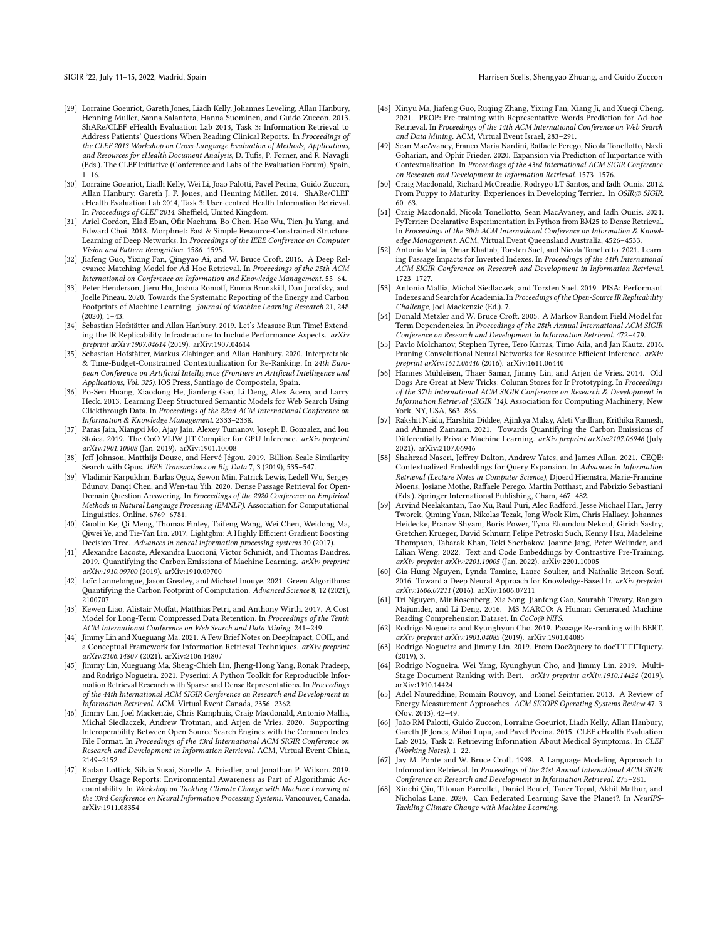- <span id="page-11-34"></span>[29] Lorraine Goeuriot, Gareth Jones, Liadh Kelly, Johannes Leveling, Allan Hanbury, Henning Muller, Sanna Salantera, Hanna Suominen, and Guido Zuccon. 2013. ShARe/CLEF eHealth Evaluation Lab 2013, Task 3: Information Retrieval to Address Patients' Questions When Reading Clinical Reports. In Proceedings of the CLEF 2013 Workshop on Cross-Language Evaluation of Methods, Applications, and Resources for eHealth Document Analysis, D. Tufis, P. Forner, and R. Navagli (Eds.). The CLEF Initiative (Conference and Labs of the Evaluation Forum), Spain,  $1 - 16$ .
- <span id="page-11-35"></span>[30] Lorraine Goeuriot, Liadh Kelly, Wei Li, Joao Palotti, Pavel Pecina, Guido Zuccon, Allan Hanbury, Gareth J. F. Jones, and Henning Müller. 2014. ShARe/CLEF eHealth Evaluation Lab 2014, Task 3: User-centred Health Information Retrieval. In Proceedings of CLEF 2014. Sheffield, United Kingdom.
- <span id="page-11-13"></span>[31] Ariel Gordon, Elad Eban, Ofir Nachum, Bo Chen, Hao Wu, Tien-Ju Yang, and Edward Choi. 2018. Morphnet: Fast & Simple Resource-Constrained Structure Learning of Deep Networks. In Proceedings of the IEEE Conference on Computer Vision and Pattern Recognition. 1586–1595.
- <span id="page-11-25"></span>[32] Jiafeng Guo, Yixing Fan, Qingyao Ai, and W. Bruce Croft. 2016. A Deep Relevance Matching Model for Ad-Hoc Retrieval. In Proceedings of the 25th ACM International on Conference on Information and Knowledge Management. 55–64.
- <span id="page-11-4"></span>[33] Peter Henderson, Jieru Hu, Joshua Romoff, Emma Brunskill, Dan Jurafsky, and Joelle Pineau. 2020. Towards the Systematic Reporting of the Energy and Carbon Footprints of Machine Learning. Journal of Machine Learning Research 21, 248 (2020), 1–43.
- <span id="page-11-28"></span>[34] Sebastian Hofstätter and Allan Hanbury. 2019. Let's Measure Run Time! Extending the IR Replicability Infrastructure to Include Performance Aspects. arXiv preprint arXiv:1907.04614 (2019). arXiv[:1907.04614](https://arxiv.org/abs/1907.04614)
- <span id="page-11-6"></span>[35] Sebastian Hofstätter, Markus Zlabinger, and Allan Hanbury. 2020. Interpretable & Time-Budget-Constrained Contextualization for Re-Ranking. In 24th European Conference on Artificial Intelligence (Frontiers in Artificial Intelligence and Applications, Vol. 325). IOS Press, Santiago de Compostela, Spain.
- <span id="page-11-26"></span>[36] Po-Sen Huang, Xiaodong He, Jianfeng Gao, Li Deng, Alex Acero, and Larry Heck. 2013. Learning Deep Structured Semantic Models for Web Search Using Clickthrough Data. In Proceedings of the 22nd ACM International Conference on Information & Knowledge Management. 2333–2338.
- <span id="page-11-1"></span>[37] Paras Jain, Xiangxi Mo, Ajay Jain, Alexey Tumanov, Joseph E. Gonzalez, and Ion Stoica. 2019. The OoO VLIW JIT Compiler for GPU Inference. arXiv preprint arXiv:1901.10008 (Jan. 2019). arXiv[:1901.10008](https://arxiv.org/abs/1901.10008)
- <span id="page-11-21"></span>[38] Jeff Johnson, Matthijs Douze, and Hervé Jégou. 2019. Billion-Scale Similarity Search with Gpus. IEEE Transactions on Big Data 7, 3 (2019), 535-547
- <span id="page-11-17"></span>[39] Vladimir Karpukhin, Barlas Oguz, Sewon Min, Patrick Lewis, Ledell Wu, Sergey Edunov, Danqi Chen, and Wen-tau Yih. 2020. Dense Passage Retrieval for Open-Domain Question Answering. In Proceedings of the 2020 Conference on Empirical Methods in Natural Language Processing (EMNLP). Association for Computational Linguistics, Online, 6769–6781.
- <span id="page-11-20"></span>[40] Guolin Ke, Qi Meng, Thomas Finley, Taifeng Wang, Wei Chen, Weidong Ma, Qiwei Ye, and Tie-Yan Liu. 2017. Lightgbm: A Highly Efficient Gradient Boosting Decision Tree. Advances in neural information processing systems 30 (2017).
- <span id="page-11-5"></span>[41] Alexandre Lacoste, Alexandra Luccioni, Victor Schmidt, and Thomas Dandres. 2019. Quantifying the Carbon Emissions of Machine Learning. arXiv preprint arXiv:1910.09700 (2019). arXiv[:1910.09700](https://arxiv.org/abs/1910.09700)
- <span id="page-11-10"></span>[42] Loïc Lannelongue, Jason Grealey, and Michael Inouye. 2021. Green Algorithms: Quantifying the Carbon Footprint of Computation. Advanced Science 8, 12 (2021), 2100707.
- <span id="page-11-12"></span>[43] Kewen Liao, Alistair Moffat, Matthias Petri, and Anthony Wirth. 2017. A Cost Model for Long-Term Compressed Data Retention. In Proceedings of the Tenth ACM International Conference on Web Search and Data Mining. 241–249.
- <span id="page-11-7"></span>[44] Jimmy Lin and Xueguang Ma. 2021. A Few Brief Notes on DeepImpact, COIL, and a Conceptual Framework for Information Retrieval Techniques. arXiv preprint arXiv:2106.14807 (2021). arXiv[:2106.14807](https://arxiv.org/abs/2106.14807)
- <span id="page-11-16"></span>[45] Jimmy Lin, Xueguang Ma, Sheng-Chieh Lin, Jheng-Hong Yang, Ronak Pradeep, and Rodrigo Nogueira. 2021. Pyserini: A Python Toolkit for Reproducible Information Retrieval Research with Sparse and Dense Representations. In Proceedings of the 44th International ACM SIGIR Conference on Research and Development in Information Retrieval. ACM, Virtual Event Canada, 2356–2362.
- <span id="page-11-30"></span>[46] Jimmy Lin, Joel Mackenzie, Chris Kamphuis, Craig Macdonald, Antonio Mallia, Michał Siedlaczek, Andrew Trotman, and Arjen de Vries. 2020. Supporting Interoperability Between Open-Source Search Engines with the Common Index File Format. In Proceedings of the 43rd International ACM SIGIR Conference on Research and Development in Information Retrieval. ACM, Virtual Event China, 2149–2152.
- <span id="page-11-0"></span>[47] Kadan Lottick, Silvia Susai, Sorelle A. Friedler, and Jonathan P. Wilson. 2019. Energy Usage Reports: Environmental Awareness as Part of Algorithmic Accountability. In Workshop on Tackling Climate Change with Machine Learning at the 33rd Conference on Neural Information Processing Systems. Vancouver, Canada. arXiv[:1911.08354](https://arxiv.org/abs/1911.08354)
- <span id="page-11-39"></span>[48] Xinyu Ma, Jiafeng Guo, Ruqing Zhang, Yixing Fan, Xiang Ji, and Xueqi Cheng. 2021. PROP: Pre-training with Representative Words Prediction for Ad-hoc Retrieval. In Proceedings of the 14th ACM International Conference on Web Search and Data Mining. ACM, Virtual Event Israel, 283–291.
- <span id="page-11-8"></span>[49] Sean MacAvaney, Franco Maria Nardini, Raffaele Perego, Nicola Tonellotto, Nazli Goharian, and Ophir Frieder. 2020. Expansion via Prediction of Importance with Contextualization. In Proceedings of the 43rd International ACM SIGIR Conference on Research and Development in Information Retrieval. 1573–1576.
- <span id="page-11-31"></span>[50] Craig Macdonald, Richard McCreadie, Rodrygo LT Santos, and Iadh Ounis. 2012. From Puppy to Maturity: Experiences in Developing Terrier.. In OSIR@ SIGIR. 60–63.
- <span id="page-11-29"></span>[51] Craig Macdonald, Nicola Tonellotto, Sean MacAvaney, and Iadh Ounis. 2021. PyTerrier: Declarative Experimentation in Python from BM25 to Dense Retrieval. In Proceedings of the 30th ACM International Conference on Information & Knowledge Management. ACM, Virtual Event Queensland Australia, 4526–4533.
- <span id="page-11-9"></span>[52] Antonio Mallia, Omar Khattab, Torsten Suel, and Nicola Tonellotto. 2021. Learning Passage Impacts for Inverted Indexes. In Proceedings of the 44th International ACM SIGIR Conference on Research and Development in Information Retrieval. 1723–1727.
- <span id="page-11-32"></span>[53] Antonio Mallia, Michal Siedlaczek, and Torsten Suel. 2019. PISA: Performant Indexes and Search for Academia. In Proceedings of the Open-Source IR Replicability Challenge, Joel Mackenzie (Ed.). 7.
- <span id="page-11-24"></span>[54] Donald Metzler and W. Bruce Croft. 2005. A Markov Random Field Model for Term Dependencies. In Proceedings of the 28th Annual International ACM SIGIR Conference on Research and Development in Information Retrieval. 472–479.
- <span id="page-11-14"></span>[55] Pavlo Molchanov, Stephen Tyree, Tero Karras, Timo Aila, and Jan Kautz. 2016. Pruning Convolutional Neural Networks for Resource Efficient Inference. arXiv preprint arXiv:1611.06440 (2016). arXiv[:1611.06440](https://arxiv.org/abs/1611.06440)
- <span id="page-11-33"></span>[56] Hannes Mühleisen, Thaer Samar, Jimmy Lin, and Arjen de Vries. 2014. Old Dogs Are Great at New Tricks: Column Stores for Ir Prototyping. In Proceedings of the 37th International ACM SIGIR Conference on Research & Development in Information Retrieval (SIGIR '14). Association for Computing Machinery, New York, NY, USA, 863–866.
- <span id="page-11-2"></span>[57] Rakshit Naidu, Harshita Diddee, Ajinkya Mulay, Aleti Vardhan, Krithika Ramesh, and Ahmed Zamzam. 2021. Towards Quantifying the Carbon Emissions of Differentially Private Machine Learning. arXiv preprint arXiv:2107.06946 (July 2021). arXiv[:2107.06946](https://arxiv.org/abs/2107.06946)
- <span id="page-11-37"></span>[58] Shahrzad Naseri, Jeffrey Dalton, Andrew Yates, and James Allan. 2021. CEQE: Contextualized Embeddings for Query Expansion. In Advances in Information Retrieval (Lecture Notes in Computer Science), Djoerd Hiemstra, Marie-Francine Moens, Josiane Mothe, Raffaele Perego, Martin Potthast, and Fabrizio Sebastiani (Eds.). Springer International Publishing, Cham, 467–482.
- <span id="page-11-38"></span>[59] Arvind Neelakantan, Tao Xu, Raul Puri, Alec Radford, Jesse Michael Han, Jerry Tworek, Qiming Yuan, Nikolas Tezak, Jong Wook Kim, Chris Hallacy, Johannes Heidecke, Pranav Shyam, Boris Power, Tyna Eloundou Nekoul, Girish Sastry, Gretchen Krueger, David Schnurr, Felipe Petroski Such, Kenny Hsu, Madeleine Thompson, Tabarak Khan, Toki Sherbakov, Joanne Jang, Peter Welinder, and Lilian Weng. 2022. Text and Code Embeddings by Contrastive Pre-Training. arXiv preprint arXiv:2201.10005 (Jan. 2022). arXiv[:2201.10005](https://arxiv.org/abs/2201.10005)
- <span id="page-11-27"></span>[60] Gia-Hung Nguyen, Lynda Tamine, Laure Soulier, and Nathalie Bricon-Souf. 2016. Toward a Deep Neural Approach for Knowledge-Based Ir. arXiv preprint arXiv:1606.07211 (2016). arXiv[:1606.07211](https://arxiv.org/abs/1606.07211)
- <span id="page-11-15"></span>[61] Tri Nguyen, Mir Rosenberg, Xia Song, Jianfeng Gao, Saurabh Tiwary, Rangan Majumder, and Li Deng. 2016. MS MARCO: A Human Generated Machine Reading Comprehension Dataset. In CoCo@ NIPS.
- <span id="page-11-22"></span>[62] Rodrigo Nogueira and Kyunghyun Cho. 2019. Passage Re-ranking with BERT. arXiv preprint arXiv:1901.04085 (2019). arXiv[:1901.04085](https://arxiv.org/abs/1901.04085)
- <span id="page-11-19"></span>[63] Rodrigo Nogueira and Jimmy Lin. 2019. From Doc2query to docTTTTTquery. (2019), 3.
- <span id="page-11-18"></span>[64] Rodrigo Nogueira, Wei Yang, Kyunghyun Cho, and Jimmy Lin. 2019. Multi-Stage Document Ranking with Bert. arXiv preprint arXiv:1910.14424 (2019). arXiv[:1910.14424](https://arxiv.org/abs/1910.14424)
- <span id="page-11-11"></span>[65] Adel Noureddine, Romain Rouvoy, and Lionel Seinturier. 2013. A Review of Energy Measurement Approaches. ACM SIGOPS Operating Systems Review 47, 3 (Nov. 2013), 42–49.
- <span id="page-11-36"></span>[66] João RM Palotti, Guido Zuccon, Lorraine Goeuriot, Liadh Kelly, Allan Hanbury, Gareth JF Jones, Mihai Lupu, and Pavel Pecina. 2015. CLEF eHealth Evaluation Lab 2015, Task 2: Retrieving Information About Medical Symptoms.. In CLEF (Working Notes). 1–22.
- <span id="page-11-23"></span>[67] Jay M. Ponte and W. Bruce Croft. 1998. A Language Modeling Approach to Information Retrieval. In Proceedings of the 21st Annual International ACM SIGIR Conference on Research and Development in Information Retrieval. 275–281.
- <span id="page-11-3"></span>[68] Xinchi Qiu, Titouan Parcollet, Daniel Beutel, Taner Topal, Akhil Mathur, and Nicholas Lane. 2020. Can Federated Learning Save the Planet?. In NeurIPS-Tackling Climate Change with Machine Learning.